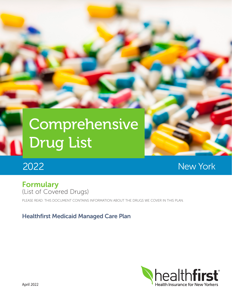# **Comprehensive** Drug List

# 2022

New York

## Formulary (List of Covered Drugs)

PI FASE READ: THIS DOCUMENT CONTAINS INFORMATION ABOUT THE DRUGS WE COVER IN THIS PLAN.

## Healthfirst Medicaid Managed Care Plan

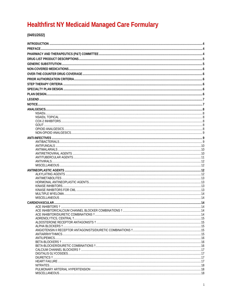## **Healthfirst NY Medicaid Managed Care Formulary**

 $(04/01/2022)$ 

| .14 |
|-----|
|     |
|     |
|     |
|     |
|     |
|     |
|     |
|     |
|     |
|     |
|     |
|     |
|     |
|     |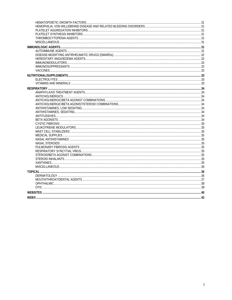| INDEX | $\Delta$ |
|-------|----------|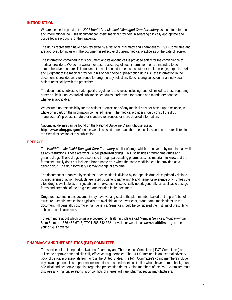#### **INTRODUCTION**

We are pleased to provide the 2022 *Healthfirst Medicaid Managed Care Formulary* as a useful reference and informational tool. This document can assist medical providers in selecting clinically appropriate and cost-effective products for their patients.

The drugs represented have been reviewed by a National Pharmacy and Therapeutics (P&T) Committee and are approved for inclusion. The document is reflective of current medical practice as of the date of review.

The information contained in this document and its appendices is provided solely for the convenience of medical providers. We do not warrant or assure accuracy of such information nor is it intended to be comprehensive in nature. This document is not intended to be a substitute for the knowledge, expertise, skill and judgment of the medical provider in his or her choice of prescription drugs. All the information in the document is provided as a reference for drug therapy selection. Specific drug selection for an individual patient rests solely with the prescriber.

The document is subject to state-specific regulations and rules, including, but not limited to, those regarding generic substitution, controlled substance schedules, preference for brands and mandatory generics whenever applicable.

We assume no responsibility for the actions or omissions of any medical provider based upon reliance, in whole or in part, on the information contained herein. The medical provider should consult the drug manufacturer's product literature or standard references for more detailed information.

National guidelines can be found on the National Guideline Clearinghouse site at **https://www.ahrq.gov/gam/**, on the websites listed under each therapeutic class and on the sites listed in the Websites section of this publication.

#### **PREFACE**

The *Healthfirst Medicaid Managed Care Formulary* is a list of drugs which are covered by our plan, as well as any restrictions. These are what we call **preferred drugs**. This list includes brand-name drugs and generic drugs. These drugs are dispensed through participating pharmacies. It's important to know that the formulary usually does not include a brand-name drug when the same medicine can be provided as a generic drug. The drug formulary list may change at any time.

The document is organized by sections. Each section is divided by therapeutic drug class primarily defined by mechanism of action. Products are listed by generic name with brand name for reference only. Unless the cited drug is available as an injectable or an exception is specifically noted, generally, all applicable dosage forms and strengths of the drug cited are included in the document.

Drugs represented in this document may have varying cost to the plan member based on the plan's benefit structure. Generic medications typically are available at the lower cost, brand-name medications on the document will generally cost more than generics. Generics should be considered the first line of prescribing subject to applicable rules.

To learn more about which drugs are covered by Healthfirst, please call Member Services, Monday-Friday, 8 am-6 pm at 1-866-463-6743; TTY 1-888-542-3821 or visit our website at **www.healthfirst.org** to see if your drug is covered.

#### **PHARMACY AND THERAPEUTICS (P&T) COMMITTEE**

The services of an independent National Pharmacy and Therapeutics Committee ("P&T Committee") are utilized to approve safe and clinically effective drug therapies. The P&T Committee is an external advisory body of clinical professionals from across the United States. The P&T Committee's voting members include physicians, pharmacists, a pharmacoeconomist and a medical ethicist, all of whom have a broad background of clinical and academic expertise regarding prescription drugs. Voting members of the P&T Committee must disclose any financial relationship or conflicts of interest with any pharmaceutical manufacturers.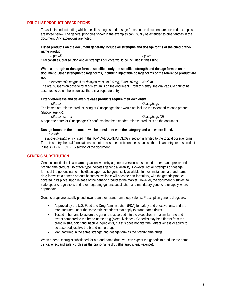#### **DRUG LIST PRODUCT DESCRIPTIONS**

To assist in understanding which specific strengths and dosage forms on the document are covered, examples are noted below. The general principles shown in the examples can usually be extended to other entries in the document. Any exceptions are noted.

**Listed products on the document generally include all strengths and dosage forms of the cited brandname product.**

*pregabalin Lyrica*

Oral capsules, oral solution and all strengths of Lyrica would be included in this listing.

**When a strength or dosage form is specified, only the specified strength and dosage form is on the document. Other strengths/dosage forms, including injectable dosage forms of the reference product are not.**

*esomeprazole magnesium delayed-rel susp 2.5 mg, 5 mg, 10 mg Nexium* The oral suspension dosage form of Nexium is on the document. From this entry, the oral capsule cannot be assumed to be on the list unless there is a separate entry.

#### **Extended-release and delayed-release products require their own entry.**

*metformin Glucophage*

The immediate-release product listing of Glucophage alone would not include the extended-release product Glucophage XR.

*metformin ext-rel Glucophage XR*

A separate entry for Glucophage XR confirms that the extended-release product is on the document.

#### **Dosage forms on the document will be consistent with the category and use where listed.** *nystatin*

The above *nystatin* entry listed in the TOPICAL/DERMATOLOGY section is limited to the topical dosage forms. From this entry the oral formulations cannot be assumed to be on the list unless there is an entry for this product in the ANTI-INFECTIVES section of the document.

#### **GENERIC SUBSTITUTION**

Generic substitution is a pharmacy action whereby a generic version is dispensed rather than a prescribed brand-name product. **Boldface type** indicates generic availability. However, not all strengths or dosage forms of the generic name in boldface type may be generically available. In most instances, a brand-name drug for which a generic product becomes available will become non-formulary, with the generic product covered in its place, upon release of the generic product to the market. However, the document is subject to state specific regulations and rules regarding generic substitution and mandatory generic rules apply where appropriate.

Generic drugs are usually priced lower than their brand-name equivalents. Prescription generic drugs are:

- Approved by the U.S. Food and Drug Administration (FDA) for safety and effectiveness, and are manufactured under the same strict standards that apply to brand-name drugs.
- Tested in humans to assure the generic is absorbed into the bloodstream in a similar rate and extent compared to the brand-name drug (bioequivalence). Generics may be different from the brand in size, color and inactive ingredients, but this does not alter their effectiveness or ability to be absorbed just like the brand-name drug.
- Manufactured in the same strength and dosage form as the brand-name drugs.

When a generic drug is substituted for a brand-name drug, you can expect the generic to produce the same clinical effect and safety profile as the brand-name drug (therapeutic equivalence).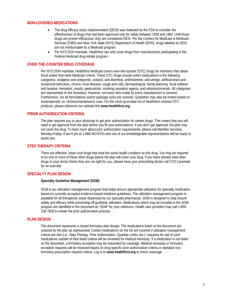#### **NON-COVERED MEDICATIONS**

- The drug efficacy study implementation (DESI) was instituted by the FDA to consider the effectiveness of drugs that had been approved only for safety between 1938 and 1962. Until those drugs are proven efficacious, they are considered DESI. Per the Centers for Medicare & Medicaid Services (CMS) and New York State (NYS) Department of Health (DOH), drugs labeled as DESI are not reimbursable by a Medicaid program.
- Per NYS DOH mandate, Healthfirst can only cover drugs from manufacturers participating in the Federal Medicaid drug rebate program.

#### **OVER-THE-COUNTER DRUG COVERAGE**

Per NYS DOH mandate, Healthfirst Medicaid covers over-the-counter (OTC) drugs for members that obtain fiscal orders that meet Medicaid criteria. These OTC drugs include *select* medications in the following categories: analgesic and antipyretic, antacid, anti-diarrheal, antihistamine, anti-vertigo, artificial tears and ocular/oral lubricants, chronic renal disease, cough and cold, dermatological, family planning, fecal softener and laxative, hematinic, insulin, pediculicide, smoking cessation agents, and vitamins/minerals. All categories are represented on the formulary. However, not every item made by every manufacturer is covered. Furthermore, not all formulations and/or package sizes are covered. Quantities may also be limited based on acute/episodic vs. chronic/maintenance uses. For the most up-to-date list of Healthfirst covered OTC products, please reference our website link **www.healthfirst.org**

#### **PRIOR AUTHORIZATION CRITERIA**

The plan requires you or your physician to get prior authorization for certain drugs. This means that you will need to get approval from the plan before you fill your prescriptions. If you don't get approval, the plan may not cover the drug. To learn more about prior authorization requirements, please call Member Services, Monday-Friday, 8 am-6 pm at 1-866-463-6743 and one of our knowledgeable representatives will be ready to assist you.

#### **STEP THERAPY CRITERIA**

There are effective, lower-cost drugs that treat the same health condition as this drug. You may be required to try one or more of these other drugs before the plan will cover your drug. If you have already tried other drugs or your doctor thinks they are not right for you, please have your prescribing doctor call CVS Caremark for an override.

#### **SPECIALTY PLAN DESIGN**

#### **Specialty Guideline Management (SGM)**

SGM is our utilization management program that helps ensure appropriate utilization for specialty medication based on currently accepted evidence-based medicine guidelines. The utilization management program is available for all therapeutic areas dispensed by our specialty pharmacies. SGM is designed to help ensure safety and efficacy while preventing off-guideline utilization. Medications which may be included in the SGM program are identified in the document as "SGM" for your reference. Health care providers may call 1-800- 238-7828 to initiate the prior authorization process.

#### **PLAN DESIGN**

The document represents a closed formulary plan design. The medications listed on the document are covered by the plan as represented. Certain medications on the list are covered if utilization management criteria are met (i.e., Step Therapy, Prior Authorization, Quantity Limits, etc.); requests for use of such medications outside of their listed criteria will be reviewed for medical necessity. If a medication is not listed on the document, a formulary exception may be requested for coverage. Medical necessity or formulary exception requests will be reviewed based on drug-specific prior authorization criteria or standard nonformulary prescription request criteria. Log in to **www.healthfirst.org** to check coverage.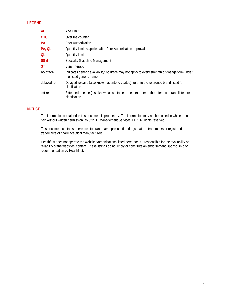#### **LEGEND**

| AL          | Age Limit                                                                                                                |
|-------------|--------------------------------------------------------------------------------------------------------------------------|
| <b>OTC</b>  | Over the counter                                                                                                         |
| <b>PA</b>   | <b>Prior Authorization</b>                                                                                               |
| PA, QL      | Quantity Limit is applied after Prior Authorization approval                                                             |
| QL          | <b>Quantity Limit</b>                                                                                                    |
| <b>SGM</b>  | <b>Specialty Guideline Management</b>                                                                                    |
| <b>ST</b>   | Step Therapy                                                                                                             |
| boldface    | Indicates generic availability; boldface may not apply to every strength or dosage form under<br>the listed generic name |
| delayed-rel | Delayed-release (also known as enteric-coated), refer to the reference brand listed for<br>clarification                 |
| ext-rel     | Extended-release (also known as sustained-release), refer to the reference brand listed for<br>clarification             |

#### **NOTICE**

The information contained in this document is proprietary. The information may not be copied in whole or in part without written permission. ©2022 HF Management Services, LLC. All rights reserved.

This document contains references to brand-name prescription drugs that are trademarks or registered trademarks of pharmaceutical manufacturers.

Healthfirst does not operate the websites/organizations listed here, nor is it responsible for the availability or reliability of the websites' content. These listings do not imply or constitute an endorsement, sponsorship or recommendation by Healthfirst.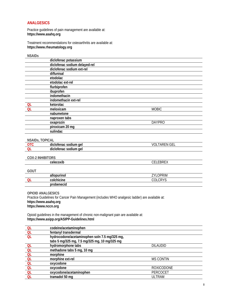#### **ANALGESICS**

Practice guidelines of pain management are available at: **https://www.asahq.org**

Treatment recommendations for osteoarthritis are available at: **https://www.rheumatology.org**

#### **NSAIDs**

|           | diclofenac potassium          |               |  |
|-----------|-------------------------------|---------------|--|
|           | diclofenac sodium delayed-rel |               |  |
|           | diclofenac sodium ext-rel     |               |  |
|           | diflunisal                    |               |  |
|           | etodolac                      |               |  |
|           | etodolac ext-rel              |               |  |
|           | flurbiprofen                  |               |  |
|           | ibuprofen                     |               |  |
|           | indomethacin                  |               |  |
|           | indomethacin ext-rel          |               |  |
| QL        | ketorolac                     |               |  |
| <b>QL</b> | meloxicam                     | <b>MOBIC</b>  |  |
|           | nabumetone                    |               |  |
|           | naproxen tabs                 |               |  |
|           | oxaprozin                     | <b>DAYPRO</b> |  |
|           | piroxicam 20 mg               |               |  |
|           | sulindac                      |               |  |
|           |                               |               |  |

#### **NSAIDs, TOPICAL**

| 11071103, 1011071 |                                        |                              |
|-------------------|----------------------------------------|------------------------------|
|                   | ael<br>sodium<br>aiciofenac            | $\sim$ $-$<br>⋀∟<br>w<br>UEL |
|                   | ael<br>sodium<br>aıc<br>.oten<br>eria. |                              |
|                   |                                        |                              |

#### **COX-2 INHIBITORS**

|             | celecoxib   | <b>CELEBREX</b> |
|-------------|-------------|-----------------|
|             |             |                 |
| <b>GOUT</b> |             |                 |
|             | allopurinol | <b>ZYLOPRIM</b> |
| ΩI          | colchicine  | COLCRYS         |
|             | probenecid  |                 |

**OPIOID ANALGESICS**  Practice Guidelines for Cancer Pain Management (includes WHO analgesic ladder) are available at: **https://www.asahq.org https://www.nccn.org**

Opioid guidelines in the management of chronic non-malignant pain are available at: **https://www.asipp.org/ASIPP-Guidelines.html**

| <b>QL</b> | codeine/acetaminophen                         |                   |
|-----------|-----------------------------------------------|-------------------|
| <b>QL</b> | fentanyl transdermal                          |                   |
| QL        | hydrocodone/acetaminophen soln 7.5 mg/325 mg, |                   |
|           | tabs 5 mg/325 mg, 7.5 mg/325 mg, 10 mg/325 mg |                   |
| <b>QL</b> | hydromorphone tabs                            | <b>DILAUDID</b>   |
| <b>QL</b> | methadone tabs 5 mg, 10 mg                    |                   |
| <b>QL</b> | morphine                                      |                   |
| <b>QL</b> | morphine ext-rel                              | <b>MS CONTIN</b>  |
| <b>QL</b> | oxycodone                                     |                   |
| QL        | oxycodone                                     | <b>ROXICODONE</b> |
| <b>QL</b> | oxycodone/acetaminophen                       | PERCOCET          |
| QL        | tramadol 50 mg                                | <b>ULTRAM</b>     |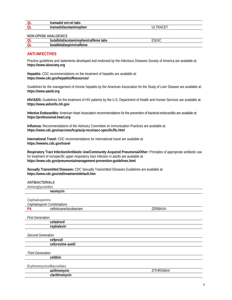| QL | tramad<br>tabs<br>ext-rel<br>пайон<br>a di '                  |            |
|----|---------------------------------------------------------------|------------|
| QL | $t$ rom <sup>-1</sup><br>nopner.<br>шас<br>пян<br><b>PIAL</b> | $\sim$ $-$ |

#### **NON-OPIOID ANALGESICS**

| Q <sub>l</sub> | tabs<br>.<br>.<br>าเ<br>eine<br>,,,<br>іліілі<br><u>ан.</u><br>$\overline{ }$ | $\sim$ |  |
|----------------|-------------------------------------------------------------------------------|--------|--|
| $\Omega$       | .<br>י<br>.<br>                                                               |        |  |

#### **ANTI-INFECTIVES**

Practice guidelines and statements developed and endorsed by the Infectious Diseases Society of America are available at: **https://www.idsociety.org**

**Hepatitis:** CDC recommendations on the treatment of hepatitis are available at: **https://www.cdc.gov/hepatitis/Resources/**

Guidelines for the management of chronic hepatitis by the American Association for the Study of Liver Disease are available at: **https://www.aasld.org**

**HIV/AIDS:** Guidelines for the treatment of HIV patients by the U.S. Department of Health and Human Services are available at: **https://www.aidsinfo.nih.gov**

**Infective Endocarditis:** American Heart Association recommendations for the prevention of bacterial endocarditis are available at: **https://professional.heart.org**

**Influenza:** Recommendations of the Advisory Committee on Immunization Practices are available at: **https://www.cdc.gov/vaccines/hcp/acip-recs/vacc-specific/flu.html**

**International Travel:** CDC recommendations for international travel are available at: **https://wwwnc.cdc.gov/travel**

**Respiratory Tract Infection/Antibiotic Use/Community Acquired Pneumonia/Other:** Principles of appropriate antibiotic use for treatment of nonspecific upper respiratory tract infection in adults are available at: **https://www.cdc.gov/pneumonia/management-prevention-guidelines.html**

**Sexually Transmitted Diseases:** CDC Sexually Transmitted Diseases Guidelines are available at: **https://www.cdc.gov/std/treatment/default.htm**

#### **ANTIBACTERIALS**

| Aminoglycosides              |           |
|------------------------------|-----------|
| neomycin                     |           |
|                              |           |
| Cephalosporins               |           |
| Cephalosporin Combinations   |           |
| ceftolozane/tazobactam<br>PA | ZERBAXA   |
|                              |           |
| <b>First Generation</b>      |           |
| cefadroxil                   |           |
| cephalexin                   |           |
|                              |           |
| Second Generation            |           |
| cefprozil                    |           |
| cefuroxime axetil            |           |
|                              |           |
| Third Generation             |           |
| cefdinir                     |           |
|                              |           |
| Erythromycins/Macrolides     |           |
| azithromycin                 | ZITHROMAX |
| clarithromycin               |           |
|                              |           |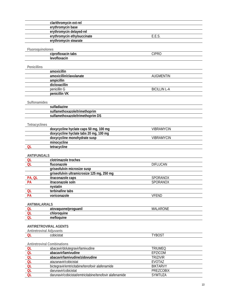|                                 | clarithromycin ext-rel                                                           |                             |
|---------------------------------|----------------------------------------------------------------------------------|-----------------------------|
|                                 | erythromycin base                                                                |                             |
|                                 | erythromycin delayed-rel                                                         |                             |
|                                 | erythromycin ethylsuccinate                                                      | E.E.S.                      |
|                                 | erythromycin stearate                                                            |                             |
|                                 |                                                                                  |                             |
| Fluoroquinolones                |                                                                                  |                             |
|                                 | ciprofloxacin tabs                                                               | <b>CIPRO</b>                |
|                                 | levofloxacin                                                                     |                             |
|                                 |                                                                                  |                             |
| Penicillins                     | amoxicillin                                                                      |                             |
|                                 | amoxicillin/clavulanate                                                          | <b>AUGMENTIN</b>            |
|                                 | ampicillin                                                                       |                             |
|                                 | dicloxacillin                                                                    |                             |
|                                 | penicillin G                                                                     | <b>BICILLIN L-A</b>         |
|                                 | penicillin VK                                                                    |                             |
|                                 |                                                                                  |                             |
| Sulfonamides                    |                                                                                  |                             |
|                                 | sulfadiazine                                                                     |                             |
|                                 | sulfamethoxazole/trimethoprim                                                    |                             |
|                                 | sulfamethoxazole/trimethoprim DS                                                 |                             |
|                                 |                                                                                  |                             |
| Tetracyclines                   |                                                                                  |                             |
|                                 | doxycycline hyclate caps 50 mg, 100 mg                                           | <b>VIBRAMYCIN</b>           |
|                                 | doxycycline hyclate tabs 20 mg, 100 mg                                           |                             |
|                                 | doxycycline monohydrate susp                                                     | <b>VIBRAMYCIN</b>           |
|                                 | minocycline                                                                      |                             |
| OL                              | tetracycline                                                                     |                             |
|                                 |                                                                                  |                             |
| <b>ANTIFUNGALS</b>              |                                                                                  |                             |
| QL                              | clotrimazole troches                                                             |                             |
| QL                              | fluconazole                                                                      | <b>DIFLUCAN</b>             |
|                                 | griseofulvin microsize susp                                                      |                             |
|                                 | griseofulvin ultramicrosize 125 mg, 250 mg<br>itraconazole caps                  |                             |
| PA, QL<br><b>PA</b>             | itraconazole soln                                                                | SPORANOX                    |
|                                 |                                                                                  |                             |
|                                 |                                                                                  | SPORANOX                    |
|                                 | nystatin                                                                         |                             |
| QL                              | terbinafine tabs                                                                 |                             |
| <b>PA</b>                       | voriconazole                                                                     | <b>VFEND</b>                |
|                                 |                                                                                  |                             |
| <b>ANTIMALARIALS</b>            |                                                                                  |                             |
| <b>QL</b>                       | atovaquone/proguanil                                                             | <b>MALARONE</b>             |
| <b>QL</b>                       | chloroquine                                                                      |                             |
| <b>QL</b>                       | mefloquine                                                                       |                             |
|                                 | <b>ANTIRETROVIRAL AGENTS</b>                                                     |                             |
| <b>Antiretroviral Adjuvants</b> |                                                                                  |                             |
| <b>QL</b>                       | cobicistat                                                                       | <b>TYBOST</b>               |
|                                 |                                                                                  |                             |
|                                 | <b>Antiretroviral Combinations</b>                                               |                             |
| QL                              | abacavir/dolutegravir/lamivudine                                                 | <b>TRIUMEQ</b>              |
| QL                              | abacavir/lamivudine                                                              | EPZICOM                     |
| QL                              | abacavir/lamivudine/zidovudine                                                   | <b>TRIZIVIR</b>             |
| QL                              | atazanavir/cobicistat                                                            | <b>EVOTAZ</b>               |
| QL                              | bictegravir/emtricitabine/tenofovir alafenamide                                  | <b>BIKTARVY</b>             |
| QL<br>QL                        | darunavir/cobicistat<br>darunavir/cobicistat/emtricitabine/tenofovir alafenamide | <b>PREZCOBIX</b><br>SYMTUZA |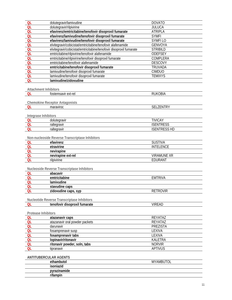| QL        | dolutegravir/lamivudine                                             | <b>DOVATO</b>       |
|-----------|---------------------------------------------------------------------|---------------------|
| QL        | dolutegravir/rilpivirine                                            | <b>JULUCA</b>       |
| QL        | efavirenz/emtricitabine/tenofovir disoproxil fumarate               | <b>ATRIPLA</b>      |
| QL        | efavirenz/lamivudine/tenofovir disoproxil fumarate                  | <b>SYMFI</b>        |
| QL        | efavirenz/lamivudine/tenofovir disoproxil fumarate                  | <b>SYMFILO</b>      |
| QL        | elvitegravir/cobicistat/emtricitabine/tenofovir alafenamide         | <b>GENVOYA</b>      |
| QL        | elvitegravir/cobicistat/emtricitabine/tenofovir disoproxil fumarate | <b>STRIBILD</b>     |
| QL        | emtricitabine/rilpivirine/tenofovir alafenamide                     | <b>ODEFSEY</b>      |
| QL        | emtricitabine/rilpivirine/tenofovir disoproxil fumarate             | COMPLERA            |
| <b>QL</b> | emtricitabine/tenofovir alafenamide                                 | <b>DESCOVY</b>      |
| QL        | emtricitabine/tenofovir disoproxil fumarate                         | TRUVADA             |
| QL        | lamivudine/tenofovir disoproxil fumarate                            | <b>CIMDUO</b>       |
| QL        | lamivudine/tenofovir disoproxil fumarate                            | <b>TEMIXYS</b>      |
| QL        | lamivudine/zidovudine                                               |                     |
|           |                                                                     |                     |
|           | <b>Attachment Inhibitors</b>                                        |                     |
|           | fostemsavir ext-rel                                                 | <b>RUKOBIA</b>      |
| QL        |                                                                     |                     |
|           |                                                                     |                     |
| QL        | <b>Chemokine Receptor Antagonists</b><br>maraviroc                  | SELZENTRY           |
|           |                                                                     |                     |
|           |                                                                     |                     |
|           | Integrase Inhibitors                                                |                     |
| QL        | dolutegravir                                                        | <b>TIVICAY</b>      |
| <b>QL</b> | raltegravir                                                         | <b>ISENTRESS</b>    |
| QL        | raltegravir                                                         | <b>ISENTRESS HD</b> |
|           |                                                                     |                     |
|           | Non-nucleoside Reverse Transcriptase Inhibitors                     |                     |
| <b>QL</b> | efavirenz                                                           | <b>SUSTIVA</b>      |
| QL        | etravirine                                                          | <b>INTELENCE</b>    |
| QL        | nevirapine                                                          |                     |
| QL        | nevirapine ext-rel                                                  | <b>VIRAMUNE XR</b>  |
| QL        | rilpivirine                                                         | EDURANT             |
|           |                                                                     |                     |
|           | Nucleoside Reverse Transcriptase Inhibitors                         |                     |
| QL        | abacavir                                                            |                     |
| QL        | emtricitabine                                                       | <b>EMTRIVA</b>      |
| QL        | lamivudine                                                          |                     |
| QL        | stavudine caps                                                      |                     |
| QL        | zidovudine caps, syp                                                | <b>RETROVIR</b>     |
|           |                                                                     |                     |
|           | Nucleotide Reverse Transcriptase Inhibitors                         |                     |
| QL        | tenofovir disoproxil fumarate                                       | <b>VIREAD</b>       |
|           |                                                                     |                     |
|           | Protease Inhibitors                                                 |                     |
| QL        | atazanavir caps                                                     | REYATAZ             |
| <b>QL</b> | atazanavir oral powder packets                                      | REYATAZ             |
| <b>QL</b> | darunavir                                                           | <b>PREZISTA</b>     |
| QL        | fosamprenavir susp                                                  | LEXIVA              |
| QL        | fosamprenavir tabs                                                  | LEXIVA              |
| QL        | lopinavir/ritonavir                                                 | <b>KALETRA</b>      |
| QL        | ritonavir powder, soln, tabs                                        | <b>NORVIR</b>       |
| <b>QL</b> | tipranavir                                                          | <b>APTIVUS</b>      |
|           |                                                                     |                     |
|           | <b>ANTITUBERCULAR AGENTS</b>                                        |                     |
|           | ethambutol                                                          | <b>MYAMBUTOL</b>    |
|           | isoniazid                                                           |                     |
|           | pyrazinamide                                                        |                     |
|           | rifampin                                                            |                     |
|           |                                                                     |                     |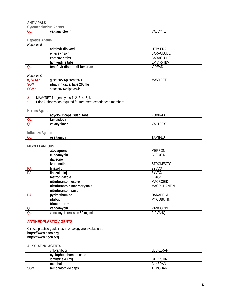| <b>ANTIVIRALS</b>       |                                                                                                          |                            |
|-------------------------|----------------------------------------------------------------------------------------------------------|----------------------------|
|                         | <b>Cytomegalovirus Agents</b>                                                                            |                            |
| QL                      | valganciclovir                                                                                           | VALCYTE                    |
|                         |                                                                                                          |                            |
| <b>Hepatitis Agents</b> |                                                                                                          |                            |
| <b>Hepatitis B</b>      |                                                                                                          |                            |
|                         | adefovir dipivoxil                                                                                       | <b>HEPSERA</b>             |
|                         | entecavir soln                                                                                           | <b>BARACLUDE</b>           |
|                         | entecavir tabs                                                                                           | <b>BARACLUDE</b>           |
|                         | lamivudine tabs                                                                                          | <b>EPIVIR-HBV</b>          |
| OL                      | tenofovir disoproxil fumarate                                                                            | <b>VIREAD</b>              |
|                         |                                                                                                          |                            |
| Hepatitis C<br>#, SGM*  | glecaprevir/pibrentasvir                                                                                 | <b>MAVYRET</b>             |
| <b>SGM</b>              | ribavirin caps, tabs 200mg                                                                               |                            |
| SGM <sup>*</sup>        | sofosbuvir/velpatasvir                                                                                   |                            |
|                         |                                                                                                          |                            |
| $\#$<br>$\star$         | MAVYRET for genotypes 1, 2, 3, 4, 5, 6<br>Prior Authorization required for treatment-experienced members |                            |
|                         |                                                                                                          |                            |
| <b>Herpes Agents</b>    |                                                                                                          |                            |
|                         | acyclovir caps, susp, tabs                                                                               | <b>ZOVIRAX</b>             |
| QL                      | famciclovir                                                                                              |                            |
| QL                      | valacyclovir                                                                                             | VALTREX                    |
|                         |                                                                                                          |                            |
| Influenza Agents<br>OL  | oseltamivir                                                                                              | <b>TAMIFLU</b>             |
|                         |                                                                                                          |                            |
| <b>MISCELLANEOUS</b>    |                                                                                                          |                            |
|                         | atovaquone                                                                                               | <b>MEPRON</b>              |
|                         | clindamycin                                                                                              | <b>CLEOCIN</b>             |
|                         | dapsone                                                                                                  |                            |
|                         | ivermectin                                                                                               | STROMECTOL                 |
| PA                      | linezolid                                                                                                | <b>ZYVOX</b>               |
| PА                      | linezolid inj                                                                                            | <b>ZYVOX</b>               |
|                         | metronidazole                                                                                            | <b>FLAGYL</b>              |
|                         | nitrofurantoin ext-rel                                                                                   | <b>MACROBID</b>            |
|                         | nitrofurantoin macrocrystals                                                                             | MACRODANTIN                |
|                         | nitrofurantoin susp                                                                                      |                            |
| PA                      | pyrimethamine                                                                                            | <b>DARAPRIM</b>            |
|                         | rifabutin                                                                                                | <b>MYCOBUTIN</b>           |
|                         |                                                                                                          |                            |
|                         | trimethoprim                                                                                             |                            |
| QL<br>ΩL                | vancomycin<br>vancomvoin oral soln 50 mg/ml                                                              | VANCOCIN<br><b>FIRVANO</b> |
|                         |                                                                                                          |                            |

### **ANTINEOPLASTIC AGENTS**

Clinical practice guidelines in oncology are available at:<br>https://www.asco.org<br>https://www.nccn.org

#### **ALKYLATING AGENTS**

|            | chlorambucil          | I FUKFRAN        |
|------------|-----------------------|------------------|
|            | cyclophosphamide caps |                  |
|            | lomustine 40 mg       | <b>GLEOSTINE</b> |
|            | melphalan             | AI KFRAN         |
| <b>SGM</b> | temozolomide caps     | <b>TEMODAR</b>   |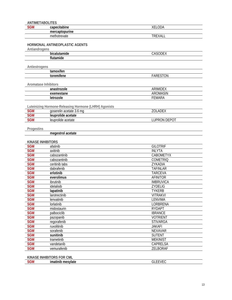| <b>ANTIMETABOLITES</b>      |                                                       |                     |
|-----------------------------|-------------------------------------------------------|---------------------|
| <b>SGM</b>                  | capecitabine                                          | XELODA              |
|                             | mercaptopurine                                        |                     |
|                             | methotrexate                                          | <b>TREXALL</b>      |
|                             |                                                       |                     |
|                             | HORMONAL ANTINEOPLASTIC AGENTS                        |                     |
| Antiandrogens               |                                                       |                     |
|                             | bicalutamide                                          | CASODEX             |
|                             | flutamide                                             |                     |
|                             |                                                       |                     |
| Antiestrogens               |                                                       |                     |
|                             | tamoxifen                                             |                     |
|                             | toremifene                                            | <b>FARESTON</b>     |
|                             |                                                       |                     |
| <b>Aromatase Inhibitors</b> |                                                       |                     |
|                             | anastrozole                                           | ARIMIDEX            |
|                             | exemestane                                            | <b>AROMASIN</b>     |
|                             | letrozole                                             | <b>FEMARA</b>       |
|                             |                                                       |                     |
|                             | Luteinizing Hormone-Releasing Hormone (LHRH) Agonists |                     |
| <b>SGM</b>                  | goserelin acetate 3.6 mg                              | ZOLADEX             |
| <b>SGM</b>                  | leuprolide acetate                                    |                     |
| <b>SGM</b>                  | leuprolide acetate                                    | <b>LUPRON DEPOT</b> |
|                             |                                                       |                     |
| Progestins                  |                                                       |                     |
|                             | megestrol acetate                                     |                     |
|                             |                                                       |                     |
| <b>KINASE INHIBITORS</b>    |                                                       |                     |
| <b>SGM</b>                  | afatinib                                              | <b>GILOTRIF</b>     |
| <b>SGM</b>                  | axitinib                                              | <b>INLYTA</b>       |
| <b>SGM</b>                  | cabozantinib                                          | <b>CABOMETYX</b>    |
| <b>SGM</b>                  | cabozantinib                                          | <b>COMETRIQ</b>     |
| <b>SGM</b>                  | ceritinib tabs                                        | ZYKADIA             |
| <b>SGM</b>                  | dabrafenib                                            | <b>TAFINLAR</b>     |
| <b>SGM</b>                  | erlotinib                                             | <b>TARCEVA</b>      |
| <b>SGM</b>                  | everolimus                                            | <b>AFINITOR</b>     |
| <b>SGM</b>                  | ibrutinib                                             | <b>IMBRUVICA</b>    |
| <b>SGM</b>                  | idelalisib                                            | <b>ZYDELIG</b>      |
| <b>SGM</b>                  | lapatinib                                             | <b>TYKERB</b>       |
| <b>SGM</b>                  | larotrectinib                                         | <b>VITRAKVI</b>     |
| <b>SGM</b>                  | lenvatinib                                            | LENVIMA             |
| <b>SGM</b>                  | lorlatinib                                            | LORBRENA            |
| <b>SGM</b>                  | midostaurin                                           | <b>RYDAPT</b>       |
| <b>SGM</b>                  | palbociclib                                           | <b>IBRANCE</b>      |
| <b>SGM</b>                  | pazopanib                                             | <b>VOTRIENT</b>     |
| <b>SGM</b>                  | regorafenib                                           | <b>STIVARGA</b>     |
| <b>SGM</b>                  | ruxolitinib                                           | <b>JAKAFI</b>       |
| <b>SGM</b>                  | sorafenib                                             | <b>NEXAVAR</b>      |
| <b>SGM</b>                  | sunitinib                                             | <b>SUTENT</b>       |
| <b>SGM</b>                  | trametinib                                            | <b>MEKINIST</b>     |
| <b>SGM</b>                  | vandetanib                                            | CAPRELSA            |
| <b>SGM</b>                  | vemurafenib                                           | ZELBORAF            |
|                             |                                                       |                     |
|                             | <b>KINASE INHIBITORS FOR CML</b>                      |                     |
| <b>SGM</b>                  | imatinib mesylate                                     | <b>GLEEVEC</b>      |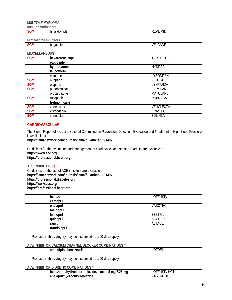**MULTIPLE MYELOMA** 

| Immunomodulators |                          |                 |
|------------------|--------------------------|-----------------|
| <b>SGM</b>       | lenalidomide             | <b>REVLIMID</b> |
|                  |                          |                 |
|                  | Destagagesa Intellectual |                 |

**Proteasome Inhibitors SGM** brigatinib **VELCADE** 

#### **MISCELLANEOUS**

| <b>IVIIDUELLAIVEUUD</b> |                   |                  |
|-------------------------|-------------------|------------------|
| <b>SGM</b>              | bexarotene caps   | TARGRETIN        |
|                         | etoposide         |                  |
|                         | hydroxyurea       | <b>HYDREA</b>    |
|                         | <i>leucovorin</i> |                  |
|                         | mitotane          | LYSODREN         |
| <b>SGM</b>              | niraparib         | ZEJULA           |
| <b>SGM</b>              | olaparib          | LYNPARZA         |
| <b>SGM</b>              | panobinostat      | <b>FARYDAK</b>   |
|                         | procarbazine      | <b>MATULANE</b>  |
| <b>SGM</b>              | rucaparib         | <b>RUBRACA</b>   |
|                         | tretinoin caps    |                  |
| <b>SGM</b>              | venetoclax        | <b>VENCLEXTA</b> |
| <b>SGM</b>              | vismodegib        | ERIVEDGE         |
| <b>SGM</b>              | vorinostat        | ZOLINZA          |

#### **CARDIOVASCULAR**

The Eighth Report of the Joint National Committee on Prevention, Detection, Evaluation and Treatment of High Blood Pressure is available at:

**https://jamanetwork.com/journals/jama/fullarticle/1791497**

Guidelines for the evaluation and management of cardiovascular diseases in adults are available at: **https://www.acc.org https://professional.heart.org**

**ACE INHIBITORS †** Guidelines for the use of ACE inhibitors are available at: **https://jamanetwork.com/journals/jama/fullarticle/1791497 https://professional.diabetes.org https://www.acc.org https://professional.heart.org**

| benazepril   | LOTENSIN        |
|--------------|-----------------|
| captopril    |                 |
| enalapril    | VASOTEC         |
| fosinopril   |                 |
| lisinopril   | <b>ZESTRIL</b>  |
| quinapril    | <b>ACCUPRIL</b> |
| ramipril     | <b>ALTACE</b>   |
| trandolapril |                 |
|              |                 |

**†** Products in this category may be dispensed as a 90-day supply.

#### **ACE INHIBITOR/CALCIUM CHANNEL BLOCKER COMBINATIONS †**

| - - | `'<br>_ |
|-----|---------|
|     |         |

**†** Products in this category may be dispensed as a 90-day supply.

#### **ACE INHIBITOR/DIURETIC COMBINATIONS †**

| <br>つに<br>ma<br>orothiazide.<br>ma/ <i>f</i><br>except<br>וחר<br>ıvaroa<br>.nior   | $\sqrt{2}$<br>AIN.<br>יי<br>$\sim$ |
|------------------------------------------------------------------------------------|------------------------------------|
| $\mathbf{H}$<br>abize'n "<br>$\sim$<br>≅nını.<br>שנחת<br>1VO 11<br>. .<br>ਾ ⊂⊟diu⊾ | ,-----                             |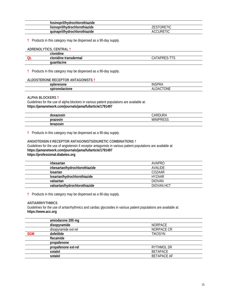| fosinopril/hydrochlorothiazide |             |
|--------------------------------|-------------|
| lisinopril/hydrochlorothiazide | $\Omega$ RF |
| quinapril/hydrochlorothiazide  | JR<br>AC(   |

**†** Products in this category may be dispensed as a 90-day supply.

| ADRENOLYTICS, CENTRAL † |              |
|-------------------------|--------------|
| clonidine               |              |
| clonidine transdermal   | CATAPRES-TTS |
| quanfacine              |              |

**†** Products in this category may be dispensed as a 90-day supply.

#### **ALDOSTERONE RECEPTOR ANTAGONISTS †**

| $\sim$ $\sim$<br>ок<br>lUHt | INS<br>$\cdot$                             |
|-----------------------------|--------------------------------------------|
| ----<br>√n⊯<br>юне          | $\sim\cdot\cdot$<br>ΔI<br>ìА<br>UNE<br>ul. |

#### **ALPHA BLOCKERS †**

Guidelines for the use of alpha blockers in various patient populations are available at: **https://jamanetwork.com/journals/jama/fullarticle/1791497**

| $- - - - - -$<br>aox | <u>וחווחח</u><br>$\sqrt{ }$ |
|----------------------|-----------------------------|
| prazosin             | <b>MINIPRESS</b>            |
| $\sim$<br>t∩r<br>эн. |                             |

**†** Products in this category may be dispensed as a 90-day supply.

#### **ANGIOTENSIN II RECEPTOR ANTAGONISTS/DIURETIC COMBINATIONS †**

Guidelines for the use of angiotensin II receptor antagonists in various patient populations are available at: **https://jamanetwork.com/journals/jama/fullarticle/1791497 https://professional.diabetes.org**

| irbesartan                     | AVAPRO        |
|--------------------------------|---------------|
| irbesartan/hydrochlorothiazide | AVALIDE       |
| losartan                       | COZAAR        |
| losartan/hydrochlorothiazide   | HY7AAR        |
| valsartan                      | <b>DIOVAN</b> |
| valsartan/hydrochlorothiazide  | DIOVAN HCT    |
|                                |               |

**†** Products in this category may be dispensed as a 90-day supply.

#### **ANTIARRHYTHMICS**

Guidelines for the use of antiarrhythmics and cardiac glycosides in various patient populations are available at: **https://www.acc.org**

|            | amiodarone 200 mg    |                    |
|------------|----------------------|--------------------|
|            | disopyramide         | <b>NORPACE</b>     |
|            | disopyramide ext-rel | NORPACE CR         |
| <b>SGM</b> | dofetilide           | <b>TIKOSYN</b>     |
|            | flecainide           |                    |
|            | propafenone          |                    |
|            | propafenone ext-rel  | RYTHMOL SR         |
|            | sotalol              | <b>BETAPACE</b>    |
|            | sotalol              | <b>BETAPACE AF</b> |
|            |                      |                    |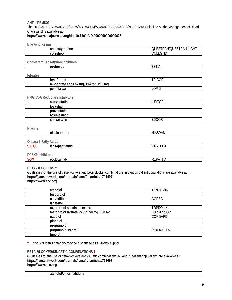#### **ANTILIPEMICS**  The 2018 AHA/ACC/AACVPR/AAPA/ABC/ACPM/ADA/AGS/APhA/ASPC/NLA/PCNA Guideline on the Management of Blood Cholesterol is available at: **https://www.ahajournals.org/doi/10.1161/CIR.0000000000000625**

| <b>Bile Acid Resins</b>                                   |                                          |                                                                                                                        |
|-----------------------------------------------------------|------------------------------------------|------------------------------------------------------------------------------------------------------------------------|
| cholestyramine                                            |                                          | QUESTRAN/QUESTRAN LIGHT                                                                                                |
| colestipol                                                |                                          | COLESTID                                                                                                               |
|                                                           |                                          |                                                                                                                        |
| <b>Cholesterol Absorption Inhibitors</b>                  |                                          |                                                                                                                        |
| ezetimibe                                                 |                                          | ZETIA                                                                                                                  |
|                                                           |                                          |                                                                                                                        |
| Fibrates<br>fenofibrate                                   |                                          | <b>TRICOR</b>                                                                                                          |
|                                                           | fenofibrate caps 67 mg, 134 mg, 200 mg   |                                                                                                                        |
| qemfibrozil                                               |                                          | LOPID                                                                                                                  |
|                                                           |                                          |                                                                                                                        |
| HMG-CoA Reductase Inhibitors                              |                                          |                                                                                                                        |
| atorvastatin                                              |                                          | <b>LIPITOR</b>                                                                                                         |
| lovastatin                                                |                                          |                                                                                                                        |
| pravastatin                                               |                                          |                                                                                                                        |
| rosuvastatin                                              |                                          |                                                                                                                        |
| simvastatin                                               |                                          | <b>ZOCOR</b>                                                                                                           |
|                                                           |                                          |                                                                                                                        |
| <b>Niacins</b>                                            |                                          |                                                                                                                        |
| niacin ext-rel                                            |                                          | <b>NIASPAN</b>                                                                                                         |
|                                                           |                                          |                                                                                                                        |
| Omega-3 Fatty Acids                                       |                                          |                                                                                                                        |
| ST, QL<br>icosapent ethyl                                 |                                          | VASCEPA                                                                                                                |
|                                                           |                                          |                                                                                                                        |
| <b>PCSK9 Inhibitors</b>                                   |                                          |                                                                                                                        |
| evolocumab<br><b>SGM</b>                                  |                                          | <b>REPATHA</b>                                                                                                         |
|                                                           |                                          |                                                                                                                        |
| <b>BETA-BLOCKERS †</b>                                    |                                          |                                                                                                                        |
|                                                           |                                          | Guidelines for the use of beta-blockers and beta-blocker combinations in various patient populations are available at: |
| https://jamanetwork.com/journals/jama/fullarticle/1791497 |                                          |                                                                                                                        |
| https://www.acc.org                                       |                                          |                                                                                                                        |
|                                                           |                                          |                                                                                                                        |
| atenolol                                                  |                                          | <b>TENORMIN</b>                                                                                                        |
| bisoprolol                                                |                                          |                                                                                                                        |
| carvedilol                                                |                                          | COREG                                                                                                                  |
| labetalol                                                 |                                          |                                                                                                                        |
| metoprolol succinate ext-rel                              |                                          | TOPROL-XL                                                                                                              |
|                                                           | metoprolol tartrate 25 mg, 50 mg, 100 mg | LOPRESSOR                                                                                                              |
| nadolol                                                   |                                          | CORGARD                                                                                                                |
| pindolol                                                  |                                          |                                                                                                                        |
| propranolol                                               |                                          |                                                                                                                        |
| propranolol ext-rel                                       |                                          | <b>INDERAL LA</b>                                                                                                      |

**†** Products in this category may be dispensed as a 90-day supply.

#### **BETA-BLOCKER/DIURETIC COMBINATIONS †**

**timolol**

Guidelines for the use of beta-blockers and diuretic combinations in various patient populations are available at: **https://jamanetwork.com/journals/jama/fullarticle/1791497 https://www.acc.org**

**atenolol/chlorthalidone**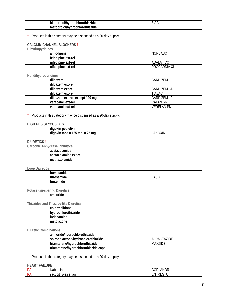| .<br>othiazide <sup>.</sup><br>----<br>DIS<br>.nior<br>nvaroc<br>оюл | ZIAC |
|----------------------------------------------------------------------|------|
| olol/nvar<br>niazide<br>rocniorotr<br>זנזנ                           |      |

**†** Products in this category may be dispensed as a 90-day supply.

#### **CALCIUM CHANNEL BLOCKERS †**

**Dihydropyridines** 

| amlodipine         | <b>NORVASC</b> |
|--------------------|----------------|
| felodipine ext-rel |                |
| nifedipine ext-rel | ADALAT CC      |
| nifedipine ext-rel | PROCARDIA XL   |
|                    |                |

#### **Nondihydropyridines**

| diltiazem                        | CARDIZEM    |
|----------------------------------|-------------|
| diltiazem ext-rel                |             |
| diltiazem ext-rel                | CARDIZEM CD |
| diltiazem ext-rel                | TIA7AC      |
| diltiazem ext-rel, except 120 mg | CARDIZEM LA |
| verapamil ext-rel                | CALAN SR    |
| verapamil ext-rel                | VERFI AN PM |

**†** Products in this category may be dispensed as a 90-day supply.

#### **DIGITALIS GLYCOSIDES**

| elixir<br>ומה<br>air.<br>ω                                                    |             |
|-------------------------------------------------------------------------------|-------------|
| 10F<br>ົາ⊾<br>ma<br>.<br>$-1$<br>TADS<br>nxır<br>онок<br>ma<br><br>. <i>.</i> | )XIN<br>ANC |

#### **DIURETICS †**

**Carbonic Anhydrase Inhibitors** 

| ົ<br>a                |  |
|-----------------------|--|
| acetazolamide ext-rel |  |
| me                    |  |
|                       |  |

#### **Loop Diuretics**

| LUUN DIUICIIUS |       |
|----------------|-------|
| bumetanide     |       |
| furosemide     | .ASIX |
| torsemide      |       |
|                |       |

#### **Potassium-sparing Diuretics**

#### **amiloride**

**Thiazides and Thiazide-like Diuretics** 

| chlorthalidone      |  |
|---------------------|--|
| hydrochlorothiazide |  |
| indapamide          |  |
| metolazone          |  |
|                     |  |

#### **Diuretic Combinations**

| <b>PIGIVIIV VUIIIDIIIGIVIIV</b>      |                |  |
|--------------------------------------|----------------|--|
| amiloride/hydrochlorothiazide        |                |  |
| spironolactone/hydrochlorothiazide   | ALDACTAZIDE    |  |
| triamterene/hydrochlorothiazide      | <b>MAX7IDE</b> |  |
| triamterene/hydrochlorothiazide caps |                |  |

**†** Products in this category may be dispensed as a 90-day supply.

#### **HEART FAILURE**

| - | $\mathbf{u}$<br>.<br><u>ivapradine</u><br>. | $\sim$ $\sim$ $\sim$<br>AN.<br><br>ີ<br>$\sim$ |
|---|---------------------------------------------|------------------------------------------------|
| - | <br>. .<br><sub>ີ</sub> ຈcubitril/valsartan | ------<br>۰N۱                                  |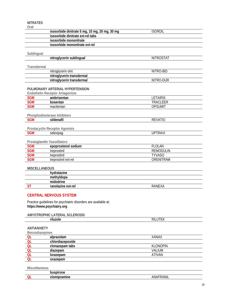#### **NITRATES**

| i<br>-<br>۰.<br>___<br>the control of the control of | ×, |  |  |
|------------------------------------------------------|----|--|--|
|------------------------------------------------------|----|--|--|

| Oral                       |                                                                 |                  |
|----------------------------|-----------------------------------------------------------------|------------------|
|                            | isosorbide dinitrate 5 mg, 10 mg, 20 mg, 30 mg                  | <b>ISORDIL</b>   |
|                            | isosorbide dinitrate ext-rel tabs                               |                  |
|                            | isosorbide mononitrate                                          |                  |
|                            | isosorbide mononitrate ext-rel                                  |                  |
|                            |                                                                 |                  |
| Sublingual                 |                                                                 |                  |
|                            | nitroglycerin sublingual                                        | <b>NITROSTAT</b> |
| Transdermal                |                                                                 |                  |
|                            | nitroglycerin oint                                              | NITRO-BID        |
|                            | nitroglycerin transdermal                                       |                  |
|                            | nitroglycerin transdermal                                       | NITRO-DUR        |
|                            |                                                                 |                  |
|                            | PULMONARY ARTERIAL HYPERTENSION                                 |                  |
|                            | <b>Endothelin Receptor Antagonists</b>                          |                  |
| <b>SGM</b>                 | ambrisentan                                                     | <b>LETAIRIS</b>  |
| <b>SGM</b>                 | bosentan                                                        | TRACLEER         |
| <b>SGM</b>                 | macitentan                                                      | <b>OPSUMIT</b>   |
|                            |                                                                 |                  |
|                            | Phosphodiesterase Inhibitors                                    |                  |
| <b>SGM</b>                 | sildenafil                                                      | <b>REVATIO</b>   |
|                            |                                                                 |                  |
| <b>SGM</b>                 | Prostacyclin Receptor Agonists<br>selexipag                     | <b>UPTRAVI</b>   |
|                            |                                                                 |                  |
| Prostaglandin Vasodilators |                                                                 |                  |
| <b>SGM</b>                 | epoprostenol sodium                                             | <b>FLOLAN</b>    |
| <b>SGM</b>                 | treprostinil                                                    | <b>REMODULIN</b> |
| <b>SGM</b>                 | treprostinil                                                    | <b>TYVASO</b>    |
| <b>SGM</b>                 | treprostinil ext-rel                                            | ORENITRAM        |
|                            |                                                                 |                  |
| <b>MISCELLANEOUS</b>       |                                                                 |                  |
|                            | hydralazine                                                     |                  |
|                            | methyldopa                                                      |                  |
|                            | midodrine                                                       |                  |
| <b>ST</b>                  | ranolazine ext-rel                                              | <b>RANEXA</b>    |
|                            |                                                                 |                  |
|                            | <b>CENTRAL NERVOUS SYSTEM</b>                                   |                  |
|                            | Practice guidelines for psychiatric disorders are available at: |                  |
| https://www.psychiatry.org |                                                                 |                  |
|                            |                                                                 |                  |
|                            | AMYOTROPHIC LATERAL SCLEROSIS                                   |                  |
|                            | riluzole                                                        | <b>RILUTEK</b>   |
|                            |                                                                 |                  |
| <b>ANTIANXIETY</b>         |                                                                 |                  |
| Benzodiazepines            |                                                                 |                  |
| <b>QL</b><br><b>QL</b>     | alprazolam                                                      | <b>XANAX</b>     |
| <b>QL</b>                  | chlordiazepoxide<br>clonazepam tabs                             | <b>KLONOPIN</b>  |
| QL                         | diazepam                                                        | VALIUM           |
| QL                         | lorazepam                                                       | <b>ATIVAN</b>    |
| QL                         | oxazepam                                                        |                  |
|                            |                                                                 |                  |
| Miscellaneous              |                                                                 |                  |
|                            | husnirone                                                       |                  |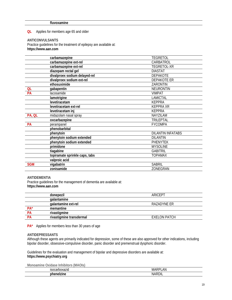#### **QL** Applies for members age 65 and older

#### **ANTICONVULSANTS**

Practice guidelines for the treatment of epilepsy are available at: **https://www.aan.com**

|            | carbamazepine                  | <b>TEGRETOL</b>          |
|------------|--------------------------------|--------------------------|
|            | carbamazepine ext-rel          | CARBATROL                |
|            | carbamazepine ext-rel          | TEGRETOL-XR              |
|            | diazepam rectal gel            | <b>DIASTAT</b>           |
|            | divalproex sodium delayed-rel  | DEPAKOTE                 |
|            | divalproex sodium ext-rel      | <b>DEPAKOTE ER</b>       |
|            | ethosuximide                   | ZARONTIN                 |
| <b>QL</b>  | gabapentin                     | <b>NEURONTIN</b>         |
| PA         | lacosamide                     | <b>VIMPAT</b>            |
|            | lamotrigine                    | LAMICTAL                 |
|            | levetiracetam                  | <b>KEPPRA</b>            |
|            | levetiracetam ext-rel          | <b>KEPPRA XR</b>         |
|            | levetiracetam inj              | <b>KEPPRA</b>            |
| PA, QL     | midazolam nasal spray          | NAYZILAM                 |
|            | oxcarbazepine                  | <b>TRILEPTAL</b>         |
| PA         | perampanel                     | <b>FYCOMPA</b>           |
|            | phenobarbital                  |                          |
|            | phenytoin                      | <b>DILANTIN INFATABS</b> |
|            | phenytoin sodium extended      | <b>DILANTIN</b>          |
|            | phenytoin sodium extended      | <b>PHENYTEK</b>          |
|            | primidone                      | <b>MYSOLINE</b>          |
|            | tiagabine                      | <b>GABITRIL</b>          |
|            | topiramate sprinkle caps, tabs | <b>TOPAMAX</b>           |
|            | valproic acid                  |                          |
| <b>SGM</b> | vigabatrin                     | <b>SABRIL</b>            |
|            | zonisamide                     | ZONEGRAN                 |

#### **ANTIDEMENTIA**

Practice guidelines for the management of dementia are available at: **https://www.aan.com**

| donepezil                | ARICEPT             |
|--------------------------|---------------------|
| galantamine              |                     |
| qalantamine ext-rel      | RAZADYNE ER         |
| memantine                |                     |
| rivastigmine             |                     |
| rivastigmine transdermal | <b>EXELON PATCH</b> |
|                          |                     |

**PA\*** Applies for members less than 30 years of age

#### **ANTIDEPRESSANTS**

Although these agents are primarily indicated for depression, some of these are also approved for other indications, including bipolar disorder, obsessive-compulsive disorder, panic disorder and premenstrual dysphoric disorder.

Guidelines for the evaluation and management of bipolar and depressive disorders are available at: **https://www.psychiatry.org**

**Monoamine Oxidase Inhibitors (MAOIs)** 

| .<br>. | ۱В.<br>IVI.<br>_ |
|--------|------------------|
|        | M                |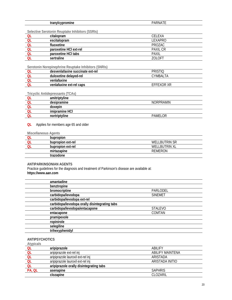| __<br>ח ר<br>1 N L |  |
|--------------------|--|
|                    |  |

Selective Serotonin Reuptake Inhibitors (SSRIs)

| OL        | citalopram             | CELEXA          |
|-----------|------------------------|-----------------|
| <b>OL</b> | escitalopram           | I FXAPRO        |
| <b>OL</b> | fluoxetine             | PROZAC          |
| <b>OL</b> | paroxetine HCI ext-rel | <b>PAXIL CR</b> |
| QL        | paroxetine HCI tabs    | PAXIL           |
| ΩI        | sertraline             | 70I OFT         |

Serotonin Norepinephrine Reuptake Inhibitors (SNRIs)

| desvenlafaxine succinate ext-rel | <b>PRISTIO</b> |
|----------------------------------|----------------|
| duloxetine delayed-rel           | CYMBAI TA      |
| venlafaxine                      |                |
| venlafaxine ext-rel caps         | EFFEXOR XR     |

**Tricyclic Antidepressants (TCAs)** 

| amitriptyline  |                  |
|----------------|------------------|
| desipramine    | <b>NORPRAMIN</b> |
| doxepin        |                  |
| imipramine HCI |                  |
| nortriptyline  | PAMELOR          |
|                |                  |

**QL** Applies for members age 65 and older

|    | Miscellaneous Agents |                      |
|----|----------------------|----------------------|
|    | bupropion            |                      |
| ΩI | bupropion ext-rel    | WELL BUTRIN SR       |
|    | bupropion ext-rel    | <b>WELLBUTRIN XL</b> |
|    | mirtazapine          | REMERON              |
|    | trazodone            |                      |

#### ANTIPARKINSONIAN AGENTS

Practice guidelines for the diagnosis and treatment of Parkinson's disease are available at: https://www.aan.com

| amantadine         |                                               |                |  |
|--------------------|-----------------------------------------------|----------------|--|
| benztropine        |                                               |                |  |
| bromocriptine      |                                               | PARLODEL       |  |
| carbidopa/levodopa |                                               | <b>SINEMET</b> |  |
|                    | carbidopa/levodopa ext-rel                    |                |  |
|                    | carbidopa/levodopa orally disintegrating tabs |                |  |
|                    | carbidopa/levodopa/entacapone                 | <b>STALEVO</b> |  |
| entacapone         |                                               | COMTAN         |  |
| pramipexole        |                                               |                |  |
| ropinirole         |                                               |                |  |
| selegiline         |                                               |                |  |
| trihexyphenidyl    |                                               |                |  |
|                    |                                               |                |  |

#### **ANTIPSYCHOTICS**

| Atypicals |                                         |                         |
|-----------|-----------------------------------------|-------------------------|
| QL        | aripiprazole                            | ABILIFY                 |
| <b>QL</b> | aripiprazole ext-rel inj                | <b>ABILIFY MAINTENA</b> |
| QL        | aripiprazole lauroxil ext-rel inj       | ARISTADA                |
| QL        | aripiprazole lauroxil ext-rel inj       | ARISTADA INITIO         |
| QL        | aripiprazole orally disintegrating tabs |                         |
| PA, QL    | asenapine                               | <b>SAPHRIS</b>          |
|           | clozapine                               | CLOZARIL                |

 $\overline{\phantom{0}}$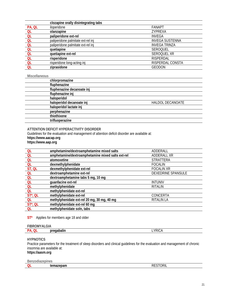|        | clozapine orally disintegrating tabs |                        |
|--------|--------------------------------------|------------------------|
| PA, QL | iloperidone                          | <b>FANAPT</b>          |
| QL     | olanzapine                           | <b>ZYPREXA</b>         |
| QL     | paliperidone ext-rel                 | INVEGA                 |
| QL     | paliperidone palmitate ext-rel inj   | <b>INVEGA SUSTENNA</b> |
| QL     | paliperidone palmitate ext-rel inj   | <b>INVEGA TRINZA</b>   |
| QL     | quetiapine                           | <b>SEROQUEL</b>        |
| QL     | quetiapine ext-rel                   | SEROOUEL XR            |
| QL     | risperidone                          | <b>RISPERDAL</b>       |
| QL     | risperidone long-acting inj          | RISPERDAL CONSTA       |
| QL     | ziprasidone                          | <b>GEODON</b>          |

#### **Miscellaneous**

| <b>HALDOL DECANOATE</b> |
|-------------------------|
|                         |
|                         |
|                         |
|                         |
|                         |

#### **ATTENTION DEFICIT HYPERACTIVITY DISORDER**

Guidelines for the evaluation and management of attention deficit disorder are available at:

**https://www.aacap.org https://www.aap.org**

| <b>QL</b>   | amphetamine/dextroamphetamine mixed salts         | ADDERALL           |
|-------------|---------------------------------------------------|--------------------|
| <b>QL</b>   | amphetamine/dextroamphetamine mixed salts ext-rel | ADDERALL XR        |
| <b>QL</b>   | atomoxetine                                       | <b>STRATTERA</b>   |
| <b>QL</b>   | dexmethylphenidate                                | <b>FOCALIN</b>     |
| ST, QL      | dexmethylphenidate ext-rel                        | <b>FOCALIN XR</b>  |
| <b>QL</b>   | dextroamphetamine ext-rel                         | DEXEDRINE SPANSULE |
| QL          | dextroamphetamine tabs 5 mg, 10 mg                |                    |
| <b>QL</b>   | guanfacine ext-rel                                | <b>INTUNIV</b>     |
| QL          | methylphenidate                                   | <b>RITALIN</b>     |
| <b>QL</b>   | methylphenidate ext-rel                           |                    |
| $ST^*$ , QL | methylphenidate ext-rel                           | CONCERTA           |
| <b>QL</b>   | methylphenidate ext-rel 20 mg, 30 mg, 40 mg       | <b>RITALIN LA</b>  |
| $ST^*$ , QL | methylphenidate ext-rel 60 mg                     |                    |
| QL          | methylphenidate soln, tabs                        |                    |

#### **ST\*** Applies for members age 18 and older

#### **FIBROMYALGIA**

|--|

#### **HYPNOTICS**

Practice parameters for the treatment of sleep disorders and clinical guidelines for the evaluation and management of chronic insomnia are available at: **https://aasm.org**

| Benzodiazepines |  |
|-----------------|--|
|                 |  |

| $\sim$        |                 |
|---------------|-----------------|
| $\frac{1}{2}$ | <b>DECTODIL</b> |
| ∵≂uan.        | UNL             |
| ∼             |                 |
|               |                 |
|               |                 |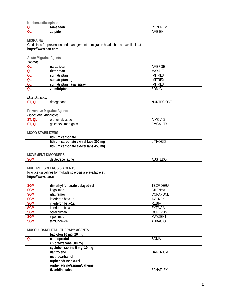**Nonbenzodiazepines** 

| __ | <b></b><br>. |                   |
|----|--------------|-------------------|
| ∼  | --<br>--     | ```I\ <i>I</i> I. |

**MIGRAINE** 

Guidelines for prevention and management of migraine headaches are available at: **https://www.aan.com**

**Acute Migraine Agents** 

| Triptans  |                         |                |
|-----------|-------------------------|----------------|
| QL        | naratriptan             | AMERGE         |
| 0L        | rizatriptan             | MAXALT         |
| QL        | sumatriptan             | <b>IMITREX</b> |
| <b>QL</b> | sumatriptan ini         | <b>IMITREX</b> |
| Οl        | sumatriptan nasal spray | <b>IMITREX</b> |
|           | zolmitriptan            | <b>ZOMIG</b>   |
|           |                         |                |

#### *Miscellaneous*

| __ | rime<br>______ | 11 I I<br>I٧ |
|----|----------------|--------------|
|    |                |              |

#### **Preventive Migraine Agents**

*Monoclonal Antibodies* 

|   | 0000<br>∩r∩<br>iul<br>fiab-auue<br>ا د. |     |
|---|-----------------------------------------|-----|
| È | anım<br>าลเด                            | A M |
|   |                                         |     |

#### **MOOD STABILIZERS**

| lithium carbonate                     |         |  |
|---------------------------------------|---------|--|
| lithium carbonate ext-rel tabs 300 mg | ITHOBID |  |
| lithium carbonate ext-rel tabs 450 mg |         |  |

#### **MOVEMENT DISORDERS**

| JML | etrabenazıne<br>аеш | --- -<br>v |
|-----|---------------------|------------|
|     | .                   | ᅩᇅ         |

#### **MULTIPLE SCLEROSIS AGENTS**

Practice guidelines for multiple sclerosis are available at: **https://www.aan.com**

| <b>SGM</b> | dimethyl fumarate delayed-rel | <b>TECFIDERA</b> |
|------------|-------------------------------|------------------|
| <b>SGM</b> | fingolimod                    | <b>GILENYA</b>   |
| <b>SGM</b> | glatiramer                    | COPAXONE         |
| <b>SGM</b> | interferon beta-1a            | AVONEX           |
| <b>SGM</b> | interferon beta-1a            | <b>REBIF</b>     |
| <b>SGM</b> | interferon beta-1b            | <b>EXTAVIA</b>   |
| <b>SGM</b> | ocrelizumab                   | <b>OCREVUS</b>   |
| <b>SGM</b> | siponimod                     | <b>MAYZENT</b>   |
| <b>SGM</b> | teriflunomide                 | <b>AUBAGIO</b>   |

#### **MUSCULOSKELETAL THERAPY AGENTS**

| baclofen 10 mg, 20 mg         |                 |
|-------------------------------|-----------------|
| carisoprodol                  | SOMA            |
| chlorzoxazone 500 mg          |                 |
| cyclobenzaprine 5 mg, 10 mg   |                 |
| dantrolene                    | <b>DANTRIUM</b> |
| methocarbamol                 |                 |
| orphenadrine ext-rel          |                 |
| orphenadrine/aspirin/caffeine |                 |
| tizanidine tabs               | ZANAFLEX        |
|                               |                 |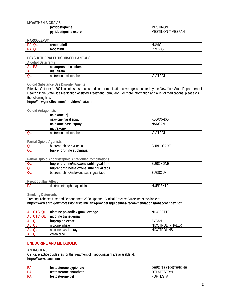#### **MYASTHENIA GRAVIS**

| <b>PER 250</b><br>w<br>יי                              | ON<br>-IN\<br>MF                        |
|--------------------------------------------------------|-----------------------------------------|
| <br>-rel<br>$\sim$<br>'м<br><u>.</u><br>ıe<br>וסו<br>๛ | <b>SPAN</b><br>'NN<br>IME<br>MF.<br>INI |

#### **NARCOLEPSY**

| ___ |               |                                |
|-----|---------------|--------------------------------|
| D.  | . .<br>nrr    | $\sim$ $\cdot$<br>$\mathbf{u}$ |
| D.  | . .<br>$\sim$ |                                |

#### **PSYCHOTHERAPEUTIC-MISCELLANEOUS**

**Alcohol Deterrents** 

| <b>AL</b> | acamprosate calcium     |  |
|-----------|-------------------------|--|
| nц        | ulfiram                 |  |
|           | naltrexone microspheres |  |

#### **Opioid Substance Use Disorder Agents**

Effective October 1, 2021, opioid substance use disorder medication coverage is dictated by the New York State Department of Health Single Statewide Medication Assisted Treatment Formulary. For more information and a list of medications, please visit the following link:

#### **https://newyork.fhsc.com/providers/mat.asp**

#### **Opioid Antagonists**

|    | naloxone inj            |           |
|----|-------------------------|-----------|
|    | naloxone nasal spray    | KI OXXADO |
|    | naloxone nasal spray    | NARCAN    |
|    | naltrexone              |           |
| ΟI | naltrexone microspheres | vivitroi  |
|    |                         |           |

#### **Partial Opioid Agonists**

| ını<br>$-$ - $ -$ rnhine<br>$r_{\Omega}$<br>ext-ı<br>bupr<br>ronine<br>ен<br>$\sim$ | $\sim$ $\sim$ |
|-------------------------------------------------------------------------------------|---------------|
| uhli<br>bupre<br>'nnine<br>11 O M                                                   |               |

#### **Partial Opioid Agonist/Opioid Antagonist Combinations**

| film<br>buprenorphine/naloxone<br>اsublingual ‹ | SHR(<br>'JXONE |
|-------------------------------------------------|----------------|
| sublingual tabs ا<br>buprenorphine/naloxone :   |                |
| sublingual tabs<br>buprenorphine/naloxone       | . ıD⊆          |
|                                                 |                |

#### **Pseudobulbar Affect**

| ٦6<br>.<br>$\sim$ $\sim$ $\sim$ $\sim$ $\sim$ |  |
|-----------------------------------------------|--|
|                                               |  |

#### **Smoking Deterrents**

Treating Tobacco Use and Dependence: 2008 Update - Clinical Practice Guideline is available at: **https://www.ahrq.gov/professionals/clinicians-providers/guidelines-recommendations/tobacco/index.html**

| AL, OTC, QL | nicotine polacrilex gum, lozenge | <b>NICORFTTE</b> |
|-------------|----------------------------------|------------------|
| AL, OTC, QL | nicotine transdermal             |                  |
| AL, QL      | bupropion ext-rel                | 7YBAN            |
| AL, QL      | nicotine inhaler                 | NICOTROL INHALER |
| AL, QL      | nicotine nasal spray             | NICOTROL NS      |
| AL, QL      | varenicline                      |                  |

#### **ENDOCRINE AND METABOLIC**

#### **ANDROGENS**

Clinical practice guidelines for the treatment of hypogonadism are available at: **https://www.aace.com**

| וח<br>n            | testosterone cypionate | -TESTOSTERONE<br>DEPO<br>$\overline{\phantom{a}}$ |
|--------------------|------------------------|---------------------------------------------------|
| D)<br>$\mathbf{r}$ | testosterone enanthate | <b>CTDVI</b><br>DЕ                                |
| D.<br>$\sqrt{ }$   | testosterone<br>ael    | JR<br>íΑ                                          |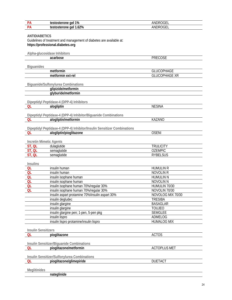| PA                             | testosterone gel 1%                                                                                       | ANDROGEL             |
|--------------------------------|-----------------------------------------------------------------------------------------------------------|----------------------|
| PA                             | testosterone gel 1.62%                                                                                    | ANDROGEL             |
| <b>ANTIDIABETICS</b>           | Guidelines of treatment and management of diabetes are available at:<br>https://professional.diabetes.org |                      |
|                                | Alpha-glucosidase Inhibitors                                                                              |                      |
|                                | acarbose                                                                                                  | <b>PRECOSE</b>       |
|                                |                                                                                                           |                      |
| <b>Biguanides</b>              |                                                                                                           |                      |
|                                | metformin                                                                                                 | <b>GLUCOPHAGE</b>    |
|                                | metformin ext-rel                                                                                         | <b>GLUCOPHAGE XR</b> |
|                                | <b>Biguanide/Sulfonylurea Combinations</b><br>glipizide/metformin                                         |                      |
|                                | glyburide/metformin                                                                                       |                      |
| QL                             | Dipeptidyl Peptidase-4 (DPP-4) Inhibitors<br>alogliptin                                                   | <b>NESINA</b>        |
|                                | Dipeptidyl Peptidase-4 (DPP-4) Inhibitor/Biguanide Combinations                                           |                      |
|                                |                                                                                                           |                      |
| QL                             | alogliptin/metformin                                                                                      | KAZANO               |
|                                | Dipeptidyl Peptidase-4 (DPP-4) Inhibitor/Insulin Sensitizer Combinations                                  |                      |
| <b>OL</b>                      | alogliptin/pioglitazone                                                                                   | <b>OSENI</b>         |
| <b>Incretin Mimetic Agents</b> |                                                                                                           |                      |
| ST, QL                         | dulaglutide                                                                                               | <b>TRULICITY</b>     |
| ST, QL                         | semaglutide                                                                                               | <b>OZEMPIC</b>       |
| ST, QL                         | semaglutide                                                                                               | <b>RYBELSUS</b>      |
|                                |                                                                                                           |                      |
| <b>Insulins</b>                |                                                                                                           |                      |
| QL                             | insulin human                                                                                             | <b>HUMULIN R</b>     |
| QL                             | insulin human                                                                                             | <b>NOVOLIN R</b>     |
| QL                             | insulin isophane human                                                                                    | <b>HUMULIN N</b>     |
| QL                             | insulin isophane human                                                                                    | <b>NOVOLIN N</b>     |
| QL                             | insulin isophane human 70%/regular 30%                                                                    | HUMULIN 70/30        |
| QL                             | insulin isophane human 70%/regular 30%                                                                    | NOVOLIN 70/30        |
|                                | insulin aspart protamine 70%/insulin aspart 30%                                                           | NOVOLOG MIX 70/30    |
|                                | insulin degludec                                                                                          | <b>TRESIBA</b>       |
|                                | insulin glargine                                                                                          | <b>BASAGLAR</b>      |
|                                | insulin glargine                                                                                          | <b>TOUJEO</b>        |
|                                | insulin glargine pen; 1-pen, 5-pen pkg                                                                    | <b>SEMGLEE</b>       |
|                                | insulin lispro                                                                                            | ADMELOG              |
|                                | insulin lispro protamine/insulin lispro                                                                   | <b>HUMALOG MIX</b>   |
|                                |                                                                                                           |                      |
| <b>Insulin Sensitizers</b>     |                                                                                                           |                      |
| <b>QL</b>                      | pioglitazone                                                                                              | <b>ACTOS</b>         |
|                                | Insulin Sensitizer/Biguanide Combinations                                                                 |                      |
| QL                             | pioglitazone/metformin                                                                                    | <b>ACTOPLUS MET</b>  |
|                                |                                                                                                           |                      |
|                                | Insulin Sensitizer/Sulfonylurea Combinations                                                              |                      |
| QL                             | pioglitazone/glimepiride                                                                                  | <b>DUETACT</b>       |
|                                |                                                                                                           |                      |
| Meglitinides                   |                                                                                                           |                      |
|                                | nateglinide                                                                                               |                      |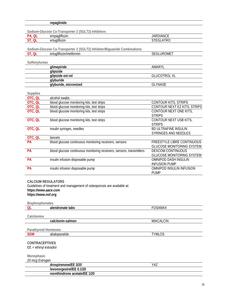|                                             | repaglinide                                                              |                                                          |
|---------------------------------------------|--------------------------------------------------------------------------|----------------------------------------------------------|
|                                             |                                                                          |                                                          |
| PA, QL                                      | Sodium-Glucose Co-Transporter 2 (SGLT2) Inhibitors<br>empagliflozin      | <b>JARDIANCE</b>                                         |
| ST, QL                                      | ertugliflozin                                                            | <b>STEGLATRO</b>                                         |
|                                             |                                                                          |                                                          |
|                                             | Sodium-Glucose Co-Transporter 2 (SGLT2) Inhibitor/Biguanide Combinations |                                                          |
| ST, QL                                      | ertugliflozin/metformin                                                  | SEGLUROMET                                               |
|                                             |                                                                          |                                                          |
| Sulfonylureas                               |                                                                          |                                                          |
|                                             | glimepiride                                                              | AMARYL                                                   |
|                                             | glipizide<br>glipizide ext-rel                                           | <b>GLUCOTROL XL</b>                                      |
|                                             | glyburide                                                                |                                                          |
|                                             | glyburide, micronized                                                    | <b>GLYNASE</b>                                           |
|                                             |                                                                          |                                                          |
| <b>Supplies</b>                             |                                                                          |                                                          |
| OTC, QL                                     | alcohol swabs                                                            |                                                          |
| OTC, QL                                     | blood glucose monitoring kits, test strips                               | <b>CONTOUR KITS, STRIPS</b>                              |
| OTC, QL                                     | blood glucose monitoring kits, test strips                               | CONTOUR NEXT EZ KITS, STRIPS                             |
| OTC, QL                                     | blood glucose monitoring kits, test strips                               | CONTOUR NEXT ONE KITS,<br><b>STRIPS</b>                  |
| OTC, QL                                     | blood glucose monitoring kits, test strips                               | CONTOUR NEXT USB KITS,                                   |
|                                             |                                                                          | <b>STRIPS</b>                                            |
| OTC, QL                                     | insulin syringes, needles                                                | <b>BD ULTRAFINE INSULIN</b>                              |
|                                             |                                                                          | SYRINGES AND NEEDLES                                     |
| OTC, QL                                     | lancets                                                                  |                                                          |
| PA                                          | blood glucose continuous monitoring receivers, sensors                   | FREESTYLE LIBRE CONTINUOUS                               |
|                                             |                                                                          | <b>GLUCOSE MONITORING SYSTEM</b>                         |
| <b>PA</b>                                   | blood glucose continuous monitoring receivers, sensors, transmitters     | <b>DEXCOM CONTINUOUS</b>                                 |
| <b>PA</b>                                   | insulin infusion disposable pump                                         | <b>GLUCOSE MONITORING SYSTEM</b><br>OMNIPOD DASH INSULIN |
|                                             |                                                                          | <b>INFUSION PUMP</b>                                     |
| PA                                          | insulin infusion disposable pump                                         | OMNIPOD INSULIN INFUSION                                 |
|                                             |                                                                          | <b>PUMP</b>                                              |
|                                             |                                                                          |                                                          |
| <b>CALCIUM REGULATORS</b>                   |                                                                          |                                                          |
|                                             | Guidelines of treatment and management of osteoporosis are available at: |                                                          |
| https://www.aace.com<br>https://www.nof.org |                                                                          |                                                          |
|                                             |                                                                          |                                                          |
| Bisphosphonates                             |                                                                          |                                                          |
| QL                                          | alendronate tabs                                                         | <b>FOSAMAX</b>                                           |
|                                             |                                                                          |                                                          |
| Calcitonins                                 |                                                                          |                                                          |
|                                             | calcitonin-salmon                                                        | <b>MIACALCIN</b>                                         |
|                                             |                                                                          |                                                          |
| <b>Parathyroid Hormones</b><br><b>SGM</b>   | abaloparatide                                                            | <b>TYMLOS</b>                                            |
|                                             |                                                                          |                                                          |
| <b>CONTRACEPTIVES</b>                       |                                                                          |                                                          |
| $EE = ethiny$ estradiol                     |                                                                          |                                                          |
|                                             |                                                                          |                                                          |
| Monophasic                                  |                                                                          |                                                          |
| 20 mcg Estrogen                             |                                                                          |                                                          |
|                                             | drospirenone/EE 3/20<br>levonorgestrel/EE 0.1/20                         | YAZ                                                      |
|                                             | norethindrone acetate/EE 1/20                                            |                                                          |
|                                             |                                                                          |                                                          |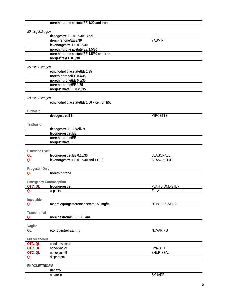|                       | norethindrone acetate/EE 1/20 and iron     |                 |  |
|-----------------------|--------------------------------------------|-----------------|--|
|                       |                                            |                 |  |
| 30 mcg Estrogen       |                                            |                 |  |
|                       | desogestrel/EE 0.15/30 - Apri              |                 |  |
|                       | drospirenone/EE 3/30                       | <b>YASMIN</b>   |  |
|                       | levonorgestrel/EE 0.15/30                  |                 |  |
|                       | norethindrone acetate/EE 1.5/30            |                 |  |
|                       | norethindrone acetate/EE 1.5/30 and iron   |                 |  |
|                       | norgestrel/EE 0.3/30                       |                 |  |
|                       |                                            |                 |  |
| 35 mcg Estrogen       |                                            |                 |  |
|                       | ethynodiol diacetate/EE 1/35               |                 |  |
|                       | norethindrone/EE 0.4/35                    |                 |  |
|                       | norethindrone/EE 0.5/35                    |                 |  |
|                       | norethindrone/EE 1/35                      |                 |  |
|                       | norgestimate/EE 0.25/35                    |                 |  |
|                       |                                            |                 |  |
| 50 mcg Estrogen       |                                            |                 |  |
|                       | ethynodiol diacetate/EE 1/50 - Kelnor 1/50 |                 |  |
|                       |                                            |                 |  |
| <b>Biphasic</b>       |                                            |                 |  |
|                       | desogestrel/EE                             | <b>MIRCETTE</b> |  |
|                       |                                            |                 |  |
| Triphasic             |                                            |                 |  |
|                       | desogestrel/EE - Velivet                   |                 |  |
|                       | levonorgestrel/EE<br>norethindrone/EE      |                 |  |
|                       |                                            |                 |  |
|                       | norgestimate/EE                            |                 |  |
| <b>Extended Cycle</b> |                                            |                 |  |
| QL                    | levonorgestrel/EE 0.15/30                  | SEASONALE       |  |
| <b>QL</b>             | levonorgestrel/EE 0.15/30 and EE 10        | SEASONIQUE      |  |
|                       |                                            |                 |  |
| Progestin Only        |                                            |                 |  |
| <b>QL</b>             | norethindrone                              |                 |  |
|                       |                                            |                 |  |
|                       | <b>Emergency Contraception</b>             |                 |  |
| OTC, QL               | levonorgestrel                             | PLAN B ONE-STEP |  |
| QL                    | ulipristal                                 | <b>ELLA</b>     |  |
|                       |                                            |                 |  |
| Injectable            |                                            |                 |  |
| QL                    | medroxyprogesterone acetate 150 mg/mL      | DEPO-PROVERA    |  |
|                       |                                            |                 |  |
| Transdermal           |                                            |                 |  |
| QL                    | norelgestromin/EE - Xulane                 |                 |  |
|                       |                                            |                 |  |
| Vaginal               |                                            |                 |  |
| QL                    | etonogestrel/EE ring                       | <b>NUVARING</b> |  |
|                       |                                            |                 |  |
| Miscellaneous         |                                            |                 |  |
| OTC, QL               | condoms, male                              |                 |  |
| OTC, QL               | nonoxynol-9                                | <b>GYNOL II</b> |  |
| OTC, QL               | nonoxynol-9                                | SHUR-SEAL       |  |
| <b>QL</b>             | diaphragm                                  |                 |  |
|                       |                                            |                 |  |
| <b>ENDOMETRIOSIS</b>  |                                            |                 |  |
|                       | danazol                                    |                 |  |
|                       | nafarelin                                  | SYNAREL         |  |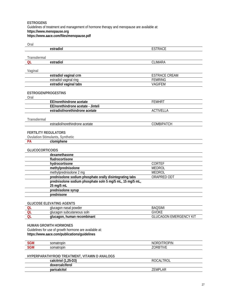#### **ESTROGENS**  Guidelines of treatment and management of hormone therapy and menopause are available at: **https://www.menopause.org https://www.aace.com/files/menopause.pdf**

| Oral                        |                                                           |                               |
|-----------------------------|-----------------------------------------------------------|-------------------------------|
|                             | estradiol                                                 | <b>ESTRACE</b>                |
|                             |                                                           |                               |
| Transdermal                 |                                                           |                               |
| QL                          | estradiol                                                 | CLIMARA                       |
|                             |                                                           |                               |
| Vaginal                     |                                                           |                               |
|                             | estradiol vaginal crm                                     | <b>ESTRACE CREAM</b>          |
|                             | estradiol vaginal ring                                    | <b>FEMRING</b>                |
|                             | estradiol vaginal tabs                                    | <b>VAGIFEM</b>                |
|                             |                                                           |                               |
| ESTROGEN/PROGESTINS         |                                                           |                               |
| Oral                        |                                                           |                               |
|                             | EE/norethindrone acetate                                  | <b>FEMHRT</b>                 |
|                             | EE/norethindrone acetate - Jinteli                        |                               |
|                             | estradiol/norethindrone acetate                           | <b>ACTIVELLA</b>              |
|                             |                                                           |                               |
| Transdermal                 |                                                           |                               |
|                             | estradiol/norethindrone acetate                           | COMBIPATCH                    |
|                             |                                                           |                               |
| <b>FERTILITY REGULATORS</b> |                                                           |                               |
|                             | <b>Ovulation Stimulants, Synthetic</b>                    |                               |
| <b>PA</b>                   | clomiphene                                                |                               |
|                             |                                                           |                               |
| <b>GLUCOCORTICOIDS</b>      |                                                           |                               |
|                             | dexamethasone                                             |                               |
|                             | fludrocortisone                                           |                               |
|                             | hydrocortisone                                            | CORTEF                        |
|                             | methylprednisolone                                        | <b>MEDROL</b>                 |
|                             | methylprednisolone 2 mg                                   | <b>MEDROL</b>                 |
|                             | prednisolone sodium phosphate orally disintegrating tabs  | ORAPRED ODT                   |
|                             | prednisolone sodium phosphate soln 5 mg/5 mL, 15 mg/5 mL, |                               |
|                             | 25 mg/5 mL                                                |                               |
|                             | prednisolone syrup                                        |                               |
|                             | prednisone                                                |                               |
|                             |                                                           |                               |
|                             | <b>GLUCOSE ELEVATING AGENTS</b>                           |                               |
| QL                          | glucagon nasal powder                                     | <b>BAQSIMI</b>                |
| QL                          | glucagon subcutaneous soln                                | <b>GVOKE</b>                  |
| <b>OL</b>                   | glucagon, human recombinant                               | <b>GLUCAGON EMERGENCY KIT</b> |
|                             |                                                           |                               |
|                             | <b>HUMAN GROWTH HORMONES</b>                              |                               |
|                             | Guidelines for use of growth hormone are available at:    |                               |
|                             | https://www.aace.com/publications/guidelines              |                               |
|                             |                                                           |                               |
| <b>SGM</b>                  | somatropin                                                | <b>NORDITROPIN</b>            |
| <b>SGM</b>                  | somatropin                                                | ZORBTIVE                      |
|                             |                                                           |                               |
|                             | HYPERPARATHYROID TREATMENT, VITAMIN D ANALOGS             |                               |
|                             | calcitriol (1,25-D3)                                      | <b>ROCALTROL</b>              |
|                             | doxercalciferol                                           |                               |
|                             | paricalcitol                                              | ZEMPLAR                       |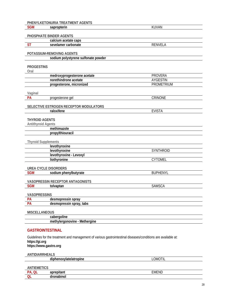|                            | PHENYLKETONURIA TREATMENT AGENTS                                                                              |                   |  |
|----------------------------|---------------------------------------------------------------------------------------------------------------|-------------------|--|
| <b>SGM</b>                 | sapropterin                                                                                                   | <b>KUVAN</b>      |  |
|                            |                                                                                                               |                   |  |
|                            | PHOSPHATE BINDER AGENTS                                                                                       |                   |  |
|                            | calcium acetate caps                                                                                          |                   |  |
| <b>ST</b>                  | sevelamer carbonate                                                                                           | <b>RENVELA</b>    |  |
|                            | POTASSIUM-REMOVING AGENTS                                                                                     |                   |  |
|                            | sodium polystyrene sulfonate powder                                                                           |                   |  |
|                            |                                                                                                               |                   |  |
| <b>PROGESTINS</b>          |                                                                                                               |                   |  |
| Oral                       |                                                                                                               |                   |  |
|                            | medroxyprogesterone acetate                                                                                   | <b>PROVERA</b>    |  |
|                            | norethindrone acetate                                                                                         | <b>AYGESTIN</b>   |  |
|                            | progesterone, micronized                                                                                      | <b>PROMETRIUM</b> |  |
|                            |                                                                                                               |                   |  |
| Vaginal<br>PA              | progesterone gel                                                                                              | CRINONE           |  |
|                            |                                                                                                               |                   |  |
|                            | SELECTIVE ESTROGEN RECEPTOR MODULATORS                                                                        |                   |  |
|                            | raloxifene                                                                                                    | <b>EVISTA</b>     |  |
|                            |                                                                                                               |                   |  |
| <b>THYROID AGENTS</b>      |                                                                                                               |                   |  |
| <b>Antithyroid Agents</b>  |                                                                                                               |                   |  |
|                            | methimazole                                                                                                   |                   |  |
|                            | propylthiouracil                                                                                              |                   |  |
| <b>Thyroid Supplements</b> |                                                                                                               |                   |  |
|                            | levothyroxine                                                                                                 |                   |  |
|                            | levothyroxine                                                                                                 | SYNTHROID         |  |
|                            | levothyroxine - Levoxyl                                                                                       |                   |  |
|                            | liothyronine                                                                                                  | <b>CYTOMEL</b>    |  |
|                            |                                                                                                               |                   |  |
|                            | <b>UREA CYCLE DISORDERS</b>                                                                                   |                   |  |
| <b>SGM</b>                 | sodium phenylbutyrate                                                                                         | <b>BUPHENYL</b>   |  |
|                            |                                                                                                               |                   |  |
| <b>SGM</b>                 | VASOPRESSIN RECEPTOR ANTAGONISTS                                                                              | <b>SAMSCA</b>     |  |
|                            | tolvaptan                                                                                                     |                   |  |
| <b>VASOPRESSINS</b>        |                                                                                                               |                   |  |
| <b>PA</b>                  | desmopressin spray                                                                                            |                   |  |
| PA                         | desmopressin spray, tabs                                                                                      |                   |  |
|                            |                                                                                                               |                   |  |
| <b>MISCELLANEOUS</b>       |                                                                                                               |                   |  |
|                            | cabergoline                                                                                                   |                   |  |
|                            | methylergonovine - Methergine                                                                                 |                   |  |
|                            |                                                                                                               |                   |  |
| <b>GASTROINTESTINAL</b>    |                                                                                                               |                   |  |
|                            | Guidelines for the treatment and management of various gastrointestinal diseases/conditions are available at: |                   |  |
| https://gi.org             |                                                                                                               |                   |  |
| https://www.gastro.org     |                                                                                                               |                   |  |
|                            |                                                                                                               |                   |  |

**ANTIDIARRHEALS** 

| <br>honowyotalotraning<br>וופר<br>opine | LOMOTIL |
|-----------------------------------------|---------|
|                                         |         |
| <b>N/IE</b><br>                         |         |

| . . | - - -<br>-- | .<br>∸IVI'<br>IΜ |
|-----|-------------|------------------|
|     |             |                  |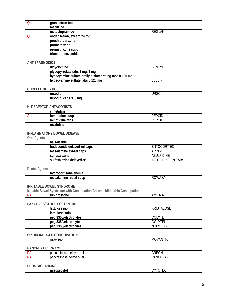| <b>QL</b>               | granisetron tabs                                        |               |
|-------------------------|---------------------------------------------------------|---------------|
|                         | meclizine                                               |               |
|                         | metoclopramide                                          | <b>REGLAN</b> |
| <b>QL</b>               | ondansetron, except 24 mg                               |               |
|                         | prochlorperazine                                        |               |
|                         | promethazine                                            |               |
|                         | promethazine supp                                       |               |
|                         | trimethobenzamide                                       |               |
|                         |                                                         |               |
| <b>ANTISPASMODICS</b>   |                                                         |               |
|                         | dicyclomine                                             | <b>BENTYL</b> |
|                         | glycopyrrolate tabs 1 mg, 2 mg                          |               |
|                         | hyoscyamine sulfate orally disintegrating tabs 0.125 mg |               |
|                         | hyoscyamine sulfate tabs 0.125 mg                       | <b>LEVSIN</b> |
|                         |                                                         |               |
| <b>CHOLELITHOLYTICS</b> |                                                         |               |
|                         | ursodiol                                                | <b>URSO</b>   |
|                         | ursodiol caps 300 mg                                    |               |
|                         |                                                         |               |
|                         | H <sub>2</sub> RECEPTOR ANTAGONISTS                     |               |
|                         | cimetidine                                              |               |
| <b>AL</b>               | famotidine susp                                         | <b>PEPCID</b> |
|                         | famotidine tabs                                         | <b>PEPCID</b> |
|                         | nizatidine                                              |               |
|                         |                                                         |               |
|                         | <b>INFLAMMATORY BOWEL DISEASE</b>                       |               |
| <b>Oral Agents</b>      |                                                         |               |

#### balsalazide budesonide delayed-rel caps **ENTOCORT EC** mesalamine ext-rel caps **APRISO** sulfasalazine **AZULFIDINE** sulfasalazine delayed-rel AZULFIDINE EN-TABS

#### **Rectal Agents**

| .<br>hydrocort<br>$\sim$ n $\sim$ n $\sim$<br>-- |                |
|--------------------------------------------------|----------------|
| - enec<br>еша                                    |                |
| mesa<br>.<br>$   -$<br>$\sim$<br>ΤΗ              | 11<br>$\cdots$ |
|                                                  |                |

#### **IRRITABLE BOWEL SYNDROME**

Irritable Bowel Syndrome with Constipation/Chronic Idiopathic Constipation

| <b>PA</b>                 | lubiprostone                     | AMITIZA           |
|---------------------------|----------------------------------|-------------------|
|                           |                                  |                   |
|                           | <b>LAXATIVES/STOOL SOFTENERS</b> |                   |
|                           | lactulose pak                    | <b>KRISTALOSE</b> |
|                           | lactulose soln                   |                   |
|                           | peg 3350/electrolytes            | <b>COLYTE</b>     |
|                           | peg 3350/electrolytes            | <b>GOLYTELY</b>   |
|                           | peg 3350/electrolytes            | NULYTELY          |
|                           |                                  |                   |
|                           | OPIOID-INDUCED CONSTIPATION      |                   |
|                           | naloxegol                        | <b>MOVANTIK</b>   |
|                           |                                  |                   |
| <b>PANCREATIC ENZYMES</b> |                                  |                   |
| <b>PA</b>                 | pancrelipase delayed-rel         | CREON             |
| <b>PA</b>                 | pancrelipase delayed-rel         | PANCREAZE         |
|                           |                                  |                   |
| <b>PROSTAGLANDINS</b>     |                                  |                   |
|                           | misoprostol                      | <b>CYTOTEC</b>    |

 $\overline{\phantom{0}}$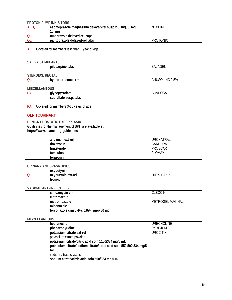## **PROTON PUMP INHIBITORS**

| al. Ol | esomeprazole magnesium delayed-rel susp 2.5 mg, 5 mg, | <b>NEXIUM</b>   |
|--------|-------------------------------------------------------|-----------------|
|        | ma                                                    |                 |
|        | omeprazole delayed-rel caps                           |                 |
|        | pantoprazole delayed-rel tabs                         | <b>PROTONIX</b> |

**AL** Covered for members less than 1 year of age

#### **SALIVA STIMULANTS**

| pilocarpine tabs |  |
|------------------|--|
|------------------|--|

#### **STEROIDS, RECTAL**

|  | crm<br>ocon<br>sone<br>nvu. | 2.5%<br>ANI ' |
|--|-----------------------------|---------------|

**pilocarpine tabs** SALAGEN

#### **MISCELLANEOUS**

| י ה | alvo<br>oovi<br>∵uatu ∶                       | JSA<br>____<br>__ |
|-----|-----------------------------------------------|-------------------|
|     | tabs<br>0.1000<br>susp<br>Jul<br><b>PITAL</b> |                   |

**PA** Covered for members 3-16 years of age

#### **GENITOURINARY**

**BENIGN PROSTATIC HYPERPLASIA**  Guidelines for the management of BPH are available at: **https://www.auanet.org/guidelines**

| alfuzosin ext-rel | UROXATRAL     |
|-------------------|---------------|
| doxazosin         | CARDURA       |
| finasteride       | PROSCAR       |
| tamsulosin        | <b>FLOMAX</b> |
| terazosin         |               |
|                   |               |

#### **URINARY ANTISPASMODICS**

|   | oxybutynin         |                          |
|---|--------------------|--------------------------|
| ∽ | oxybutynin ext-rel | <b>OPAN XL</b><br>Л<br>R |
|   | trospium           |                          |

#### **VAGINAL ANTI-INFECTIVES**

| clindamycin crm                        | CLEOCIN          |
|----------------------------------------|------------------|
| clotrimazole                           |                  |
| metronidazole                          | METROGEL-VAGINAL |
| miconazole                             |                  |
| terconazole crm 0.4%, 0.8%, supp 80 mg |                  |
|                                        |                  |

#### **MISCELLANEOUS**

| bethanechol                                                        | <b>URECHOLINE</b> |
|--------------------------------------------------------------------|-------------------|
| phenazopyridine                                                    | <b>PYRIDIUM</b>   |
| potassium citrate ext-rel                                          | UROCIT-K          |
| potassium citrate powder                                           |                   |
| potassium citrate/citric acid soln 1100/334 mg/5 mL                |                   |
| potassium citrate/sodium citrate/citric acid soln 550/500/334 mg/5 |                   |
| mL                                                                 |                   |
| sodium citrate crystals                                            |                   |
| sodium citrate/citric acid soln 500/334 mg/5 mL                    |                   |

 $\overline{\phantom{a}}$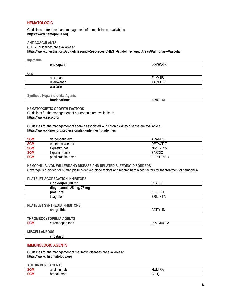#### **HEMATOLOGIC**

Guidelines of treatment and management of hemophilia are available at: https://www.hemophilia.org

### **ANTICOAGULANTS**

CHEST quidelines are available at:

https://www.chestnet.org/Guidelines-and-Resources/CHEST-Guideline-Topic Areas/Pulmonary-Vascular

Injectable

|      | enoxaparin  | LOVENOX        |
|------|-------------|----------------|
|      |             |                |
| Oral |             |                |
|      | apixaban    | <b>ELIQUIS</b> |
|      | rivaroxaban | <b>XARELTO</b> |
|      | warfarin    |                |
|      |             |                |

Synthetic Heparinoid-like Agents

#### **HEMATOPOIETIC GROWTH FACTORS**

Guidelines for the management of neutropenia are available at: https://www.asco.org

Guidelines for the management of anemia associated with chronic kidney disease are available at: https://www.kidney.org/professionals/guidelines#guidelines

| <b>SGM</b> | darbepoetin alfa   | ARANESP          |
|------------|--------------------|------------------|
| <b>SGM</b> | epoetin alfa-epbx  | RETACRIT         |
| <b>SGM</b> | filgrastim-aafi    | <b>NIVESTYM</b>  |
| <b>SGM</b> | filgrastim-sndz    | ZARXIO           |
| <b>SGM</b> | pegfilgrastim-bmez | <b>ZIEXTENZO</b> |

HEMOPHILIA, VON WILLEBRAND DISEASE AND RELATED BLEEDING DISORDERS Coverage is provided for human plasma-derived blood factors and recombinant blood factors for the treatment of hemophilia.

#### PLATELET AGGREGATION INHIBITORS

| clopidogrel 300 mg             | <b>PLAVIX</b>   |  |
|--------------------------------|-----------------|--|
| dipyridamole 25 mg, 75 mg      |                 |  |
| prasugrel                      | <b>EFFIENT</b>  |  |
| ticagrelor                     | <b>BRILINTA</b> |  |
|                                |                 |  |
| PLATELET SYNTHESIS INHIBITORS  |                 |  |
| anagrelide                     | AGRYLIN         |  |
|                                |                 |  |
| THROMBOCYTOPENIA AGENTS        |                 |  |
| <b>SGM</b><br>eltrombopag tabs | PROMACTA        |  |
|                                |                 |  |
| <b>MISCELLANEOUS</b>           |                 |  |
| .                              |                 |  |

cilostazol

#### **IMMUNOLOGIC AGENTS**

Guidelines for the management of rheumatic diseases are available at: https://www.rheumatology.org

**AUTOIMMUNE AGENTS** 

| JM | nd,<br>adalır<br>nap<br>.   | …IMI⊡⊺         |
|----|-----------------------------|----------------|
| GМ | bro<br>ualur<br>∘n F<br>наг | ົ<br>.IC<br>۰. |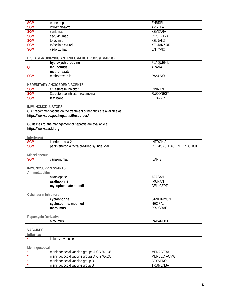| <b>SGM</b> | etanercept          | ENBREL         |
|------------|---------------------|----------------|
| <b>SGM</b> | infliximab-axxq     | AVSOLA         |
| <b>SGM</b> | sarilumab           | KFV7ARA        |
| <b>SGM</b> | secukinumab         | COSENTYX       |
| <b>SGM</b> | tofacitinib         | XELJANZ        |
| SGM<br>SGM | tofacitinib ext-rel | XELJANZ XR     |
|            | vedolizumab         | <b>ENTYVIO</b> |

#### DISEASE-MODIFYING ANTIRHEUMATIC DRUGS (DMARDs)

|            | hydroxychloroquine | PLAQUENIL |
|------------|--------------------|-----------|
|            | leflunomide        | ARAVA     |
|            | methotrexate       |           |
| <b>SGM</b> | methotrexate ini   | RASUVO    |

#### HEREDITARY ANGIOEDEMA AGENTS

| SGM | inhibitor<br>ົາ<br>esterase<br>ು।⊏<br>، ب  | CINRY7F                                   |
|-----|--------------------------------------------|-------------------------------------------|
| SGM | inhibitor<br>ົາ<br>recombinant<br>esterase | $\sim$ $\sim$ $\sim$ $\sim$<br>)N<br>- 10 |
| SGM | icatibant<br>וווסטו                        | $TIDA$ .<br>INA                           |

#### **IMMUNOMODULATORS**

CDC recommendations on the treatment of hepatitis are available at: https://www.cdc.gov/hepatitis/Resources/

#### Guidelines for the management of hepatitis are available at: https://www.aasld.org

#### Interferons

| نGM | ን.<br>alta-2b<br>interferon                                                           | Ж<br>W                                      |
|-----|---------------------------------------------------------------------------------------|---------------------------------------------|
| GМ  | pre-filled<br>vial<br>erteron<br>neginte<br>alta-:<br>svringe<br>aintert<br>, a<br>∠u | <b>PROCLICK</b><br>11<br>. .<br>니니시<br><br> |

#### **Miscellaneous**

| <b>SGM</b>                    | canakinumab                              | <b>ILARIS</b>   |
|-------------------------------|------------------------------------------|-----------------|
|                               |                                          |                 |
| <b>IMMUNOSUPPRESSANTS</b>     |                                          |                 |
| Antimetabolites               |                                          |                 |
|                               | azathioprine                             | AZASAN          |
|                               | azathioprine                             | <b>IMURAN</b>   |
|                               | mycophenolate mofetil                    | <b>CELLCEPT</b> |
|                               |                                          |                 |
| <b>Calcineurin Inhibitors</b> |                                          |                 |
|                               | cyclosporine                             | SANDIMMUNE      |
|                               | cyclosporine, modified                   | <b>NEORAL</b>   |
|                               | tacrolimus                               | <b>PROGRAF</b>  |
|                               |                                          |                 |
| <b>Rapamycin Derivatives</b>  |                                          |                 |
|                               | sirolimus                                | <b>RAPAMUNE</b> |
|                               |                                          |                 |
| <b>VACCINES</b>               |                                          |                 |
| Influenza                     |                                          |                 |
|                               | influenza vaccine                        |                 |
|                               |                                          |                 |
| Meningococcal                 |                                          |                 |
|                               | meningococcal vaccine groups A,C,Y,W-135 | <b>MENACTRA</b> |
| $\star$                       | meningococcal vaccine groups A,C,Y,W-135 | MENVEO ACYW     |
|                               |                                          |                 |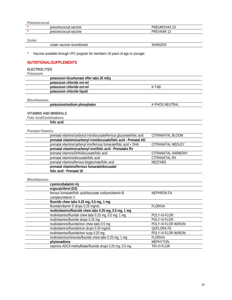| . meumococcar |                      |                           |
|---------------|----------------------|---------------------------|
|               | pheumococcal vaccine | :UMOVAX 23<br>PNE         |
|               | pheumococcal vaccine | <b>VNAR</b><br>יםה<br>، د |
|               |                      |                           |

#### **Zoster**

| zoster vaccine recombinant | $\sim$ DIV<br>IIINIC<br>≺ו<br>1 M - |
|----------------------------|-------------------------------------|
| .                          |                                     |

**\*** Vaccine available through VFC program for members 18 years of age or younger.

#### **NUTRITIONAL/SUPPLEMENTS**

#### **ELECTROLYTES**

#### **Potassium**

| potassium bicarbonate effer tabs 25 mEq. |       |
|------------------------------------------|-------|
| potassium chloride ext-rel               |       |
| potassium chloride ext-rel               | K-TAB |
| potassium chloride liquid                |       |

#### **Miscellaneous**

| potassium/sodium phosphates | K-PHOS NEUTRAL |
|-----------------------------|----------------|
|-----------------------------|----------------|

#### **VITAMINS AND MINERALS**

**Folic Acid/Combinations** 

**folic acid**

#### **Prenatal Vitamins**

| prenatal vitamins/carbonyl iron/docusate/ferrous gluconate/folic acid | CITRANATAL BLOOM   |
|-----------------------------------------------------------------------|--------------------|
| prenatal vitamins/carbonyl iron/docusate/folic acid - Prenatal AD     |                    |
| prenatal vitamins/carbonyl iron/ferrous fumarate/folic acid + DHA     | CITRANATAL MEDLEY  |
| prenatal vitamins/carbonyl iron/folic acid - Prenatabs Rx             |                    |
| prenatal vitamins/DHA/docusate/folic acid                             | CITRANATAL HARMONY |
| prenatal vitamins/docusate/folic acid                                 | CITRANATAL RX      |
| prenatal vitamins/ferrous bisglycinate/folic acid                     | <b>NESTABS</b>     |
| prenatal vitamins/ferrous fumarate/docusate/                          |                    |
| folic acid - Prenatal 19                                              |                    |
|                                                                       |                    |

#### **Miscellaneous**

| cyanocobalamin inj                                         |                     |
|------------------------------------------------------------|---------------------|
| ergocalciferol (D2)                                        |                     |
| ferrous fumarate/folic acid/docusate sodium/vitamin B-     | NEPHRON FA          |
| complex/vitamin C                                          |                     |
| fluoride chew tabs 0.25 mg, 0.5 mg, 1 mg                   |                     |
| fluoride/vitamin D drops 0.25 mg/mL                        | <b>FLORIVA</b>      |
| multivitamins/fluoride chew tabs 0.25 mg, 0.5 mg, 1 mg     |                     |
| multivitamins/fluoride chew tabs 0.25 mg, 0.5 mg, 1 mg     | POLY-VI-FLOR        |
| multivitamins/fluoride drops 0.25 mg                       | POLY-VI-FLOR        |
| multivitamins/fluoride/iron chew tabs 0.5 mg               | POLY-VI-FLOR W/IRON |
| multivitamins/fluoride/iron drops 0.25 mg/mL               | <b>OUFLORA FE</b>   |
| multivitamins/fluoride/iron susp 0.25 mg                   | POLY-VI-FLOR W/IRON |
| multivitamins/minerals/fluoride chew tabs 0.25 mg, 1 mg    | <b>FLORIVA</b>      |
| phytonadione                                               | <b>MEPHYTON</b>     |
| vitamins ADC/l-methylfolate/fluoride drops 0.25 mg, 0.5 mg | TRI-VI-FLOR         |
|                                                            |                     |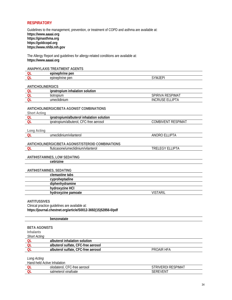#### **RESPIRATORY**

Guidelines to the management, prevention, or treatment of COPD and asthma are available at: **https://www.aaaai.org https://ginasthma.org https://goldcopd.org https://www.nhlbi.nih.gov**

The Allergy Report and guidelines for allergy-related conditions are available at: **https://www.aaaai.org**

#### **ANAPHYLAXIS TREATMENT AGENTS**

|        | nen<br>лг<br>. ושי                           |        |
|--------|----------------------------------------------|--------|
| $\sim$ | epine<br>$n \wedge n$<br>nrine<br>ver.<br>лн | $\sim$ |

#### **ANTICHOLINERGICS**

| ,,,,,,,,,,,,,,,,,,,,, |                                    |                            |
|-----------------------|------------------------------------|----------------------------|
| OL                    | ipratropium inhalation<br>solution |                            |
|                       | tiotropium                         | respimat<br><b>SPIRIVA</b> |
| QL                    | umeclidinium                       | _IPTA<br>INCRUSE           |

#### **ANTICHOLINERGIC/BETA AGONIST COMBINATIONS**

| <b>Short Acting</b> |  |
|---------------------|--|
|                     |  |

| Authu |                                                 |                             |
|-------|-------------------------------------------------|-----------------------------|
|       | ipratropium/albuterol<br>inhalation<br>solution |                             |
|       | ipratropium/albuterol.<br>aerosoi<br>பு         | ;PIMA<br>)MRI<br>/⊢NI<br>பட |
|       |                                                 |                             |

#### **Long Acting**

| Lung Acting |                                                   |                        |
|-------------|---------------------------------------------------|------------------------|
| QL          | umeclidinium/vilanterol                           | ANORO ELLIPTA          |
|             |                                                   |                        |
|             | ANTICHOLINERGIC/BETA AGONIST/STEROID COMBINATIONS |                        |
| QL          | fluticasone/umeclidinium/vilanterol               | <b>TRELEGY ELLIPTA</b> |
|             |                                                   |                        |
|             | ANTIHISTAMINES, LOW SEDATING                      |                        |
|             | cetirizine                                        |                        |
|             |                                                   |                        |
|             | ANTIHISTAMINES, SEDATING                          |                        |
|             | clemastine tabs                                   |                        |
|             | cyproheptadine                                    |                        |
|             | diphenhydramine                                   |                        |
|             | hydroxyzine HCI                                   |                        |
|             | hydroxyzine pamoate                               | VISTARIL               |
|             |                                                   |                        |

#### **ANTITUSSIVES**

Clinical practice guidelines are available at: **https://journal.chestnet.org/article/S0012-3692(15)52856-0/pdf**

|                     | benzonatate                         |            |  |
|---------------------|-------------------------------------|------------|--|
|                     |                                     |            |  |
|                     | <b>BETA AGONISTS</b>                |            |  |
| <b>Inhalants</b>    |                                     |            |  |
| <b>Short Acting</b> |                                     |            |  |
| QL                  | albuterol inhalation solution       |            |  |
| -QL                 | albuterol sulfate, CFC-free aerosol |            |  |
| <b>OL</b>           | albuterol sulfate, CFC-free aerosol | PROAIR HFA |  |
|                     |                                     |            |  |

*Long Acting* 

| Hand-held Active Inhalation |                                         |                        |
|-----------------------------|-----------------------------------------|------------------------|
|                             | CFC-f<br>olodaterol.<br>·C-free aerosol | riverdi.<br>i RESPIMAT |
|                             | xinatoate<br>salmeterol.                | 'FN.                   |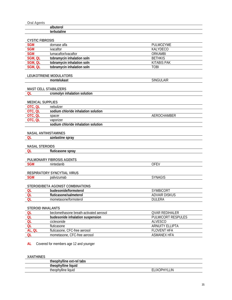| <b>Oral Agents</b>       |                                         |                           |
|--------------------------|-----------------------------------------|---------------------------|
|                          | albuterol                               |                           |
|                          | terbutaline                             |                           |
|                          |                                         |                           |
| <b>CYSTIC FIBROSIS</b>   |                                         |                           |
| <b>SGM</b>               | dornase alfa                            | PULMOZYME                 |
| <b>SGM</b>               | ivacaftor                               | KALYDECO                  |
| <b>SGM</b>               | lumacaftor/ivacaftor                    | <b>ORKAMBI</b>            |
| SGM, QL                  | tobramycin inhalation soln              | <b>BETHKIS</b>            |
| SGM, QL                  | tobramycin inhalation soln              | <b>KITABIS PAK</b>        |
| SGM, QL                  | tobramycin inhalation soln              | <b>TOBI</b>               |
|                          |                                         |                           |
|                          | <b>LEUKOTRIENE MODULATORS</b>           |                           |
|                          | montelukast                             | <b>SINGULAIR</b>          |
|                          |                                         |                           |
|                          | <b>MAST CELL STABILIZERS</b>            |                           |
| QL                       | cromolyn inhalation solution            |                           |
|                          |                                         |                           |
| <b>MEDICAL SUPPLIES</b>  |                                         |                           |
| OTC, QL                  | nebulizer                               |                           |
| OTC, QL                  | sodium chloride inhalation solution     |                           |
| OTC, QL                  | spacer                                  | AEROCHAMBER               |
| OTC, QL                  | vaporizer                               |                           |
|                          | sodium chloride inhalation solution     |                           |
|                          | <b>NASAL ANTIHISTAMINES</b>             |                           |
| QL                       | azelastine spray                        |                           |
|                          |                                         |                           |
| <b>NASAL STEROIDS</b>    |                                         |                           |
| QL                       | fluticasone spray                       |                           |
|                          |                                         |                           |
|                          | PULMONARY FIBROSIS AGENTS               |                           |
| <b>SGM</b>               | nintedanib                              | <b>OFEV</b>               |
|                          |                                         |                           |
|                          | RESPIRATORY SYNCYTIAL VIRUS             |                           |
| <b>SGM</b>               | palivizumab                             | <b>SYNAGIS</b>            |
|                          |                                         |                           |
|                          | STEROID/BETA AGONIST COMBINATIONS       |                           |
| QL                       | budesonide/formoterol                   | SYMBICORT                 |
| <b>QL</b>                | fluticasone/salmeterol                  | <b>ADVAIR DISKUS</b>      |
| <b>QL</b>                | mometasone/formoterol                   | <b>DULERA</b>             |
|                          |                                         |                           |
| <b>STEROID INHALANTS</b> |                                         |                           |
| QL                       | beclomethasone breath-activated aerosol | <b>QVAR REDIHALER</b>     |
| QL                       | budesonide inhalation suspension        | <b>PULMICORT RESPULES</b> |
| <b>QL</b>                | ciclesonide                             | <b>ALVESCO</b>            |
| QL                       | fluticasone                             | <b>ARNUITY ELLIPTA</b>    |
| AL, QL                   | fluticasone, CFC-free aerosol           | <b>FLOVENT HFA</b>        |
| QL                       | mometasone, CFC-free aerosol            | <b>ASMANEX HFA</b>        |
|                          |                                         |                           |
| AL.                      | Covered for members age 12 and younger  |                           |

*XANTHINFS* 

| <b>ARIVITHIVES</b> |                           |                           |
|--------------------|---------------------------|---------------------------|
|                    | theophylline ext-rel tabs |                           |
|                    | theophylline liquid       |                           |
|                    | theophylline liquid       | 1 IN<br><b>FI IXOPHYI</b> |
|                    |                           |                           |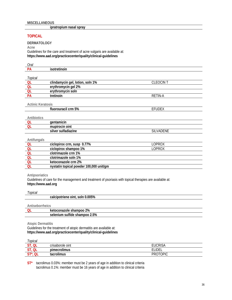**ipratropium nasal spray**

#### **TOPICAL**

**DERMATOLOGY** 

**Acne** 

Guidelines for the care and treatment of acne vulgaris are available at: **https://www.aad.org/practicecenter/quality/clinical-guidelines**

| Oral                     |                                         |                 |
|--------------------------|-----------------------------------------|-----------------|
| PA                       | isotretinoin                            |                 |
|                          |                                         |                 |
| Topical                  |                                         |                 |
| QL                       | clindamycin gel, lotion, soln 1%        | <b>CLEOCINT</b> |
| OL                       | erythromycin gel 2%                     |                 |
| QL                       | erythromycin soln                       |                 |
| PA                       | tretinoin                               | <b>RETIN-A</b>  |
|                          |                                         |                 |
| <b>Actinic Keratosis</b> |                                         |                 |
|                          | fluorouracil crm 5%                     | <b>EFUDEX</b>   |
|                          |                                         |                 |
| Antibiotics              |                                         |                 |
| QL                       | gentamicin                              |                 |
| $\overline{Q}$           | mupirocin oint                          |                 |
|                          | silver sulfadiazine                     | SILVADENE       |
|                          |                                         |                 |
| Antifungals              |                                         |                 |
| $\frac{OL}{OL}$          | ciclopirox crm, susp 0.77%              | <b>LOPROX</b>   |
|                          | ciclopirox shampoo 1%                   | <b>LOPROX</b>   |
| QL                       | clotrimazole crm 1%                     |                 |
| OL                       | clotrimazole soln 1%                    |                 |
| Q <sub>L</sub>           | ketoconazole crm 2%                     |                 |
| QL                       | nystatin topical powder 100,000 unit/gm |                 |

#### **Antipsoriatics**

Guidelines of care for the management and treatment of psoriasis with topical therapies are available at: **https://www.aad.org**

#### *Topical*

|        | calcipotriene oint, soln 0.005%      |
|--------|--------------------------------------|
|        |                                      |
|        | tisehorrheics                        |
| $\sim$ | trata a ance de la calcanza de 1907. |

| 2%<br>snambou'<br>we<br>ш              |
|----------------------------------------|
| 2.5%<br>וו זו<br>பு<br>ш<br>.<br>_____ |
|                                        |

**Atopic Dermatitis** 

Guidelines for the treatment of atopic dermatitis are available at: **https://www.aad.org/practicecenter/quality/clinical-guidelines**

| opical                  |                  |                 |
|-------------------------|------------------|-----------------|
| cт<br>QL                | crisaborole oint | <b>EUCRISA</b>  |
| rт<br>QL                | pimecrolimus     | ELIDEL          |
| $CT*$<br><b>QL</b><br>◡ | tacrolimus       | <b>PROTOPIC</b> |

**ST\*** tacrolimus 0.03%: member must be 2 years of age in addition to clinical criteria tacrolimus 0.1%: member must be 16 years of age in addition to clinical criteria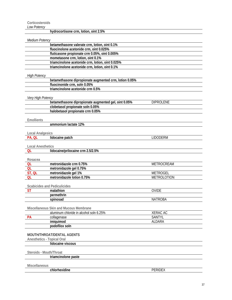**Corticosteroids** 

*Low Potency* 

| LUW FUICIIU             | hydrocortisone crm, lotion, oint 2.5%                  |                    |
|-------------------------|--------------------------------------------------------|--------------------|
| Medium Potency          |                                                        |                    |
|                         | betamethasone valerate crm, lotion, oint 0.1%          |                    |
|                         | fluocinolone acetonide crm, oint 0.025%                |                    |
|                         | fluticasone propionate crm 0.05%, oint 0.005%          |                    |
|                         | mometasone crm, lotion, oint 0.1%                      |                    |
|                         | triamcinolone acetonide crm, lotion, oint 0.025%       |                    |
|                         | triamcinolone acetonide crm, lotion, oint 0.1%         |                    |
| <b>High Potency</b>     |                                                        |                    |
|                         | betamethasone dipropionate augmented crm, lotion 0.05% |                    |
|                         | fluocinonide crm, soln 0.05%                           |                    |
|                         | triamcinolone acetonide crm 0.5%                       |                    |
| Very High Potency       |                                                        |                    |
|                         | betamethasone dipropionate augmented gel, oint 0.05%   | <b>DIPROLENE</b>   |
|                         | clobetasol propionate soln 0.05%                       |                    |
|                         | halobetasol propionate crm 0.05%                       |                    |
| <b>Emollients</b>       |                                                        |                    |
|                         | ammonium lactate 12%                                   |                    |
| <b>Local Analgesics</b> |                                                        |                    |
| PA, QL                  | lidocaine patch                                        | <b>LIDODERM</b>    |
| Rosacea<br>QL           | metronidazole crm 0.75%                                | METROCREAM         |
| QL                      | metronidazole gel 0.75%                                |                    |
| ST, QL                  | metronidazole gel 1%                                   | <b>METROGEL</b>    |
| OL                      | metronidazole lotion 0.75%                             | <b>METROLOTION</b> |
|                         | <b>Scabicides and Pediculicides</b>                    |                    |
| ST                      | malathion                                              | <b>OVIDE</b>       |
|                         | permethrin                                             |                    |
|                         | spinosad                                               | <b>NATROBA</b>     |
|                         | Miscellaneous Skin and Mucous Membrane                 |                    |
|                         | aluminum chloride in alcohol soln 6.25%                | <b>XERAC AC</b>    |
| <b>PA</b>               | collagenase                                            | <b>SANTYL</b>      |
|                         | imiquimod                                              | ALDARA             |
|                         | podofilox soln                                         |                    |
|                         | MOUTH/THROAT/DENTAL AGENTS                             |                    |
|                         | <b>Anesthetics - Topical Oral</b>                      |                    |
|                         | lidocaine viscous                                      |                    |
| Steroids - Mouth/Throat |                                                        |                    |
|                         | triamcinolone paste                                    |                    |
| Miscellaneous           |                                                        |                    |
|                         | chlorhexidine                                          | <b>PERIDEX</b>     |
|                         |                                                        |                    |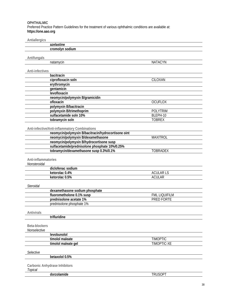#### **OPHTHALMIC**

Preferred Practice Pattern Guidelines for the treatment of various ophthalmic conditions are available at: **https://one.aao.org**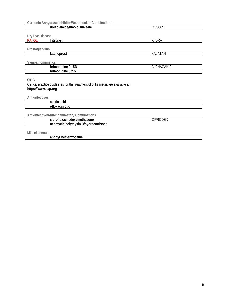|                                                                                                                        | Carbonic Anhydrase Inhibitor/Beta-blocker Combinations |                   |  |
|------------------------------------------------------------------------------------------------------------------------|--------------------------------------------------------|-------------------|--|
|                                                                                                                        | dorzolamide/timolol maleate                            | <b>COSOPT</b>     |  |
|                                                                                                                        |                                                        |                   |  |
| Dry Eye Disease                                                                                                        |                                                        |                   |  |
| PA, QL                                                                                                                 | lifitegrast                                            | <b>XIIDRA</b>     |  |
|                                                                                                                        |                                                        |                   |  |
| Prostaglandins                                                                                                         |                                                        |                   |  |
|                                                                                                                        | latanoprost                                            | <b>XALATAN</b>    |  |
|                                                                                                                        |                                                        |                   |  |
| Sympathomimetics                                                                                                       |                                                        |                   |  |
|                                                                                                                        | brimonidine 0.15%                                      | <b>ALPHAGAN P</b> |  |
|                                                                                                                        | brimonidine 0.2%                                       |                   |  |
| <b>OTIC</b><br>Clinical practice guidelines for the treatment of otitis media are available at:<br>https://www.aap.org |                                                        |                   |  |
| Anti-infectives                                                                                                        |                                                        |                   |  |
|                                                                                                                        | acetic acid                                            |                   |  |
|                                                                                                                        | ofloxacin otic                                         |                   |  |
|                                                                                                                        | Anti-infective/Anti-inflammatory Combinations          |                   |  |
|                                                                                                                        | ciprofloxacin/dexamethasone                            | <b>CIPRODEX</b>   |  |
|                                                                                                                        | neomycin/polymyxin B/hydrocortisone                    |                   |  |
| <b>Miscellaneous</b>                                                                                                   | antipyrine/benzocaine                                  |                   |  |
|                                                                                                                        |                                                        |                   |  |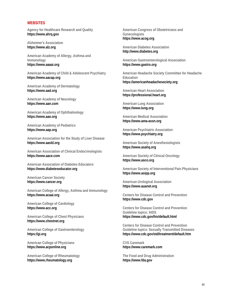#### **WEBSITES**

**Agency for Healthcare Research and Quality https://www.ahrq.gov**

**Alzheimer's Association https://www.alz.org**

**American Academy of Allergy, Asthma and Immunology https://www.aaaai.org**

**American Academy of Child & Adolescent Psychiatry https://www.aacap.org**

**American Academy of Dermatology https://www.aad.org**

**American Academy of Neurology https://www.aan.com**

**American Academy of Ophthalmology https://www.aao.org**

**American Academy of Pediatrics https://www.aap.org**

**American Association for the Study of Liver Disease https://www.aasld.org**

**American Association of Clinical Endocrinologists https://www.aace.com**

**American Association of Diabetes Educators https://www.diabeteseducator.org**

**American Cancer Society https://www.cancer.org**

**American College of Allergy, Asthma and Immunology https://www.acaai.org**

**American College of Cardiology https://www.acc.org**

**American College of Chest Physicians https://www.chestnet.org**

**American College of Gastroenterology https://gi.org**

**American College of Physicians https://www.acponline.org**

**American College of Rheumatology https://www.rheumatology.org**

**American Congress of Obstetricians and Gynecologists https://www.acog.org**

**American Diabetes Association http://www.diabetes.org**

**American Gastroenterological Association https://www.gastro.org**

**American Headache Society Committee for Headache Education https://americanheadachesociety.org**

**American Heart Association https://professional.heart.org**

**American Lung Association https://www.lung.org**

**American Medical Association https://www.ama-assn.org**

**American Psychiatric Association https://www.psychiatry.org**

**American Society of Anesthesiologists https://www.asahq.org**

**American Society of Clinical Oncology https://www.asco.org**

**American Society of Interventional Pain Physicians https://www.asipp.org**

**American Urological Association https://www.auanet.org**

**Centers for Disease Control and Prevention https://www.cdc.gov**

**Centers for Disease Control and Prevention Guideline topics: AIDS https://www.cdc.gov/hiv/default.html**

**Centers for Disease Control and Prevention Guideline topics: Sexually Transmitted Diseases https://www.cdc.gov/std/treatment/default.htm**

**CVS Caremark https://www.caremark.com**

**The Food and Drug Administration https://www.fda.gov**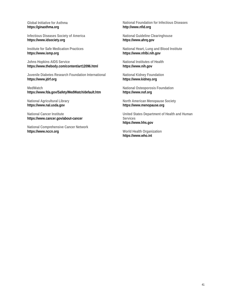**Global Initiative for Asthma https://ginasthma.org**

**Infectious Diseases Society of America https://www.idsociety.org**

**Institute for Safe Medication Practices https://www.ismp.org**

**Johns Hopkins AIDS Service https://www.thebody.com/content/art12096.html**

**Juvenile Diabetes Research Foundation International https://www.jdrf.org**

**MedWatch https://www.fda.gov/Safety/MedWatch/default.htm**

**National Agricultural Library https://www.nal.usda.gov**

**National Cancer Institute https://www.cancer.gov/about-cancer**

**National Comprehensive Cancer Network https://www.nccn.org**

**National Foundation for Infectious Diseases http://www.nfid.org**

**National Guideline Clearinghouse https://www.ahrq.gov**

**National Heart, Lung and Blood Institute https://www.nhlbi.nih.gov**

**National Institutes of Health https://www.nih.gov**

**National Kidney Foundation https://www.kidney.org**

**National Osteoporosis Foundation https://www.nof.org**

**North American Menopause Society https://www.menopause.org**

**United States Department of Health and Human Services https://www.hhs.gov**

**World Health Organization https://www.who.int**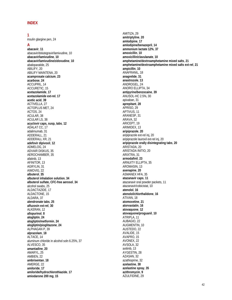# **INDEX 1**

insulin glargine pen, 24

#### **A**

**abacavir**, **11** abacavir/dolutegravir/lamivudine, 10 **abacavir/lamivudine**, **10 abacavir/lamivudine/zidovudine**, **10** abaloparatide, 25 ABILIFY, 20 ABILIFY MAINTENA, 20 **acamprosate calcium**, **23 acarbose**, **24** ACCUPRIL, 14 ACCURETIC, 15 **acetazolamide**, **17 acetazolamide ext-rel**, **17 acetic acid**, **39** ACTIVELLA, 27 ACTOPLUS MET, 24 ACTOS, 24 ACULAR, 38 ACULAR LS, 38 **acyclovir caps, susp, tabs**, **12** ADALAT CC, 17 adalimumab, 31 ADDERALL, 21 ADDERALL XR, 21 **adefovir dipivoxil**, **12** ADMELOG, 24 ADVAIR DISKUS, 35 AEROCHAMBER, 35 afatinib, 13 AFINITOR, 13 AGRYLIN, 31 AIMOVIG, 22 **albuterol**, **35 albuterol inhalation solution**, **34 albuterol sulfate, CFC-free aerosol**, **34** alcohol swabs, 25 ALDACTAZIDE, 17 ALDACTONE, 15 ALDARA, 37 **alendronate tabs**, **25 alfuzosin ext-rel**, **30** ALKERAN, 12 **allopurinol**, **8 alogliptin**, **24 alogliptin/metformin**, **24 alogliptin/pioglitazone**, **24** ALPHAGAN P, 39 **alprazolam**, **18** ALTACE, 14 aluminum chloride in alcohol soln 6.25%, 37 ALVESCO, 35 **amantadine**, **20** AMARYL, 25 AMBIEN, 22 **ambrisentan**, **18** AMERGE, 22 **amiloride**, **17 amiloride/hydrochlorothiazide**, **17 amiodarone 200 mg**, **15**

AMITIZA, 29 **amitriptyline**, **20 amlodipine**, **17 amlodipine/benazepril**, **14 ammonium lactate 12%**, **37 amoxicillin**, **10 amoxicillin/clavulanate**, **10 amphetamine/dextroamphetamine mixed salts**, **21 amphetamine/dextroamphetamine mixed salts ext-rel**, **21 ampicillin**, **10** ANAFRANIL, 18 **anagrelide**, **31 anastrozole**, **13** ANDROGEL, 24 ANORO ELLIPTA, 34 **antipyrine/benzocaine**, **39** ANUSOL-HC 2.5%, 30 apixaban, 31 **aprepitant**, **28** APRISO, 29 APTIVUS, 11 ARANESP, 31 ARAVA, 32 ARICEPT, 19 ARIMIDEX, 13 **aripiprazole**, **20** aripiprazole ext-rel inj, 20 aripiprazole lauroxil ext-rel inj, 20 **aripiprazole orally disintegrating tabs**, **20** ARISTADA, 20 ARISTADA INITIO, 20 ARIXTRA, 31 **armodafinil**, **23** ARNUITY ELLIPTA, 35 AROMASIN, 13 **asenapine**, **20** ASMANEX HFA, 35 **atazanavir caps**, **11** atazanavir oral powder packets, 11 atazanavir/cobicistat, 10 **atenolol**, **16 atenolol/chlorthalidone**, **16** ATIVAN, 18 **atomoxetine**, **21 atorvastatin**, **16 atovaquone**, **12 atovaquone/proguanil**, **10** ATRIPLA, 11 AUBAGIO, 22 AUGMENTIN, 10 AUSTEDO, 22 AVALIDE, 15 AVAPRO, 15 AVONEX, 22 AVSOLA, 32 axitinib, 13 AYGESTIN, 28 AZASAN, 32 azathioprine, 32 **azelastine**, **38 azelastine spray**, **35 azithromycin**, **9** AZULFIDINE, 29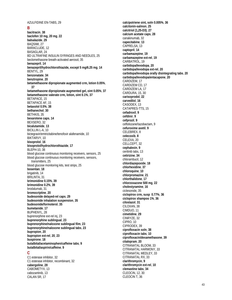AZULFIDINE EN-TABS, 29

#### **B**

**bacitracin**, **38 baclofen 10 mg, 20 mg**, **22 balsalazide**, **29** BAQSIMI, 27 BARACLUDE, 12 BASAGLAR, 24 BD ULTRAFINE INSULIN SYRINGES AND NEEDLES, 25 beclomethasone breath-activated aerosol, 35 **benazepril**, **14 benazepril/hydrochlorothiazide, except 5 mg/6.25 mg**, **14** BENTYL, 29 **benzonatate**, **34 benztropine**, **20 betamethasone dipropionate augmented crm, lotion 0.05%**, **37 betamethasone dipropionate augmented gel, oint 0.05%**, **37 betamethasone valerate crm, lotion, oint 0.1%**, **37** BETAPACE, 15 BETAPACE AF, 15 **betaxolol 0.5%**, **38 bethanechol**, **30** BETHKIS, 35 **bexarotene caps**, **14** BEXSERO, 32 **bicalutamide**, **13** BICILLIN L-A, 10 bictegravir/emtricitabine/tenofovir alafenamide, 10 BIKTARVY, 10 **bisoprolol**, **16 bisoprolol/hydrochlorothiazide**, **17** BLEPH-10, 38 blood glucose continuous monitoring receivers, sensors, 25 blood glucose continuous monitoring receivers, sensors, transmitters, 25 blood glucose monitoring kits, test strips, 25 **bosentan**, **18** brigatinib, 14 BRILINTA, 31 **brimonidine 0.15%**, **39 brimonidine 0.2%**, **39** brodalumab, 31 **bromocriptine**, **20 budesonide delayed-rel caps**, **29 budesonide inhalation suspension**, **35 budesonide/formoterol**, **35 bumetanide**, **17** BUPHENYL, 28 buprenorphine ext-rel inj, 23 **buprenorphine sublingual**, **23 buprenorphine/naloxone sublingual film**, **23 buprenorphine/naloxone sublingual tabs**, **23 bupropion**, **20 bupropion ext-rel**, **20**, **23 buspirone**, **18 butalbital/acetaminophen/caffeine tabs**, **9 butalbital/aspirin/caffeine**, **9 C** C1 esterase inhibitor, 32

C1 esterase inhibitor, recombinant, 32 **cabergoline**, **28** CABOMETYX, 13 cabozantinib, 13 CALAN SR, 17

**calcipotriene oint, soln 0.005%**, **36 calcitonin-salmon**, **25 calcitriol (1,25-D3)**, **27 calcium acetate caps**, **28** canakinumab, 32 **capecitabine**, **13** CAPRELSA, 13 **captopril**, **14 carbamazepine**, **19 carbamazepine ext-rel**, **19** CARBATROL, 19 **carbidopa/levodopa**, **20 carbidopa/levodopa ext-rel**, **20 carbidopa/levodopa orally disintegrating tabs**, **20 carbidopa/levodopa/entacapone**, **20** CARDIZEM, 17 CARDIZEM CD, 17 CARDIZEM LA, 17 CARDURA, 15, 30 **carisoprodol**, **22 carvedilol**, **16** CASODEX, 13 CATAPRES-TTS, 15 **cefadroxil**, **9 cefdinir**, **9 cefprozil**, **9** ceftolozane/tazobactam, 9 **cefuroxime axetil**, **9** CELEBREX, 8 **celecoxib**, **8** CELEXA, 20 CELLCEPT, 32 **cephalexin**, **9** ceritinib tabs, 13 **cetirizine**, **34** chlorambucil, 12 **chlordiazepoxide**, **18 chlorhexidine**, **37 chloroquine**, **10 chlorpromazine**, **21 chlorthalidone**, **17 chlorzoxazone 500 mg**, **22 cholestyramine**, **16** ciclesonide, 35 **ciclopirox crm, susp 0.77%**, **36 ciclopirox shampoo 1%**, **36 cilostazol**, **31** CILOXAN, 38 CIMDUO, 11 **cimetidine**, **29** CINRYZE, 32 CIPRO, 10 CIPRODEX, 39 **ciprofloxacin soln**, **38 ciprofloxacin tabs**, **10 ciprofloxacin/dexamethasone**, **39 citalopram**, **20** CITRANATAL BLOOM, 33 CITRANATAL HARMONY, 33 CITRANATAL MEDLEY, 33 CITRANATAL RX, 33 **clarithromycin**, **9 clarithromycin ext-rel**, **10 clemastine tabs**, **34** CLEOCIN, 12, 30 CLEOCIN T, 36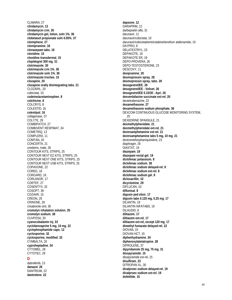CLIMARA, 27 **clindamycin**, **12 clindamycin crm**, **30 clindamycin gel, lotion, soln 1%**, **36 clobetasol propionate soln 0.05%**, **37 clomiphene**, **27 clomipramine**, **18 clonazepam tabs**, **18 clonidine**, **15 clonidine transdermal**, **15 clopidogrel 300 mg**, **31 clotrimazole**, **30 clotrimazole crm 1%**, **36 clotrimazole soln 1%**, **36 clotrimazole troches**, **10 clozapine**, **20 clozapine orally disintegrating tabs**, **21** CLOZARIL, 20 cobicistat, 10 **codeine/acetaminophen**, **8 colchicine**, **8** COLCRYS, 8 COLESTID, 16 **colestipol**, **16** collagenase, 37 COLYTE, 29 COMBIPATCH, 27 COMBIVENT RESPIMAT, 34 COMETRIQ, 13 COMPLERA, 11 COMTAN, 20 CONCERTA, 21 condoms, male, 26 CONTOUR KITS, STRIPS, 25 CONTOUR NEXT EZ KITS, STRIPS, 25 CONTOUR NEXT ONE KITS, STRIPS, 25 CONTOUR NEXT USB KITS, STRIPS, 25 COPAXONE, 22 COREG, 16 CORGARD, 16 CORLANOR, 17 CORTEF, 27 COSENTYX, 32 COSOPT, 39 COZAAR, 15 CREON, 29 CRINONE, 28 crisaborole oint, 36 **cromolyn inhalation solution**, **35 cromolyn sodium**, **38** CUVPOSA, 30 **cyanocobalamin inj**, **33 cyclobenzaprine 5 mg, 10 mg**, **22 cyclophosphamide caps**, **12 cyclosporine**, **32 cyclosporine, modified**, **32** CYMBALTA, 20 **cyproheptadine**, **34** CYTOMEL, 28 CYTOTEC, 29 **D**

#### darunavir, 11 darunavir/cobicistat, 10 darunavir/cobicistat/emtricitabine/tenofovir alafenamide, 10 DAYPRO, 8 DELATESTRYL, 23 DEPAKOTE, 19 DEPAKOTE ER, 19 DEPO-PROVERA, 26 DEPO-TESTOSTERONE, 23 DESCOVY, 11 **desipramine**, **20 desmopressin spray**, **28 desmopressin spray, tabs**, **28 desogestrel/EE**, **26 desogestrel/EE - Velivet**, **26 desogestrel/EE 0.15/30 - Apri**, **26 desvenlafaxine succinate ext-rel**, **20** deutetrabenazine, 22 **dexamethasone**, **27 dexamethasone sodium phosphate**, **38** DEXCOM CONTINUOUS GLUCOSE MONITORING SYSTEM, 25 DEXEDRINE SPANSULE, 21 **dexmethylphenidate**, **21 dexmethylphenidate ext-rel**, **21 dextroamphetamine ext-rel**, **21 dextroamphetamine tabs 5 mg, 10 mg**, **21** dextromethorphan/quinidine, 23 diaphragm, 26 DIASTAT, 19 **diazepam**, **18 diazepam rectal gel**, **19 diclofenac potassium**, **8 diclofenac sodium**, **38 diclofenac sodium delayed-rel**, **8 diclofenac sodium ext-rel**, **8 diclofenac sodium gel**, **8 dicloxacillin**, **10 dicyclomine**, **29** DIFLUCAN, 10 **diflunisal**, **8 digoxin ped elixir**, **17 digoxin tabs 0.125 mg, 0.25 mg**, **17** DILANTIN, 19 DILANTIN INFATABS, 19 DILAUDID, 8 **diltiazem**, **17 diltiazem ext-rel**, **17 diltiazem ext-rel, except 120 mg**, **17 dimethyl fumarate delayed-rel**, **22** DIOVAN, 15 DIOVAN HCT, 15 **diphenhydramine**, **34 diphenoxylate/atropine**, **28** DIPROLENE, 37 **dipyridamole 25 mg, 75 mg**, **31 disopyramide**, **15**

disopyramide ext-rel, 15 **disulfiram**, **23** DITROPAN XL, 30

**dofetilide**, **15**

**divalproex sodium delayed-rel**, **19 divalproex sodium ext-rel**, **19**

**dapsone**, **12** DARAPRIM, 12 darbepoetin alfa, 31

dabrafenib, 13 **danazol**, **26** DANTRIUM, 22 **dantrolene**, **22**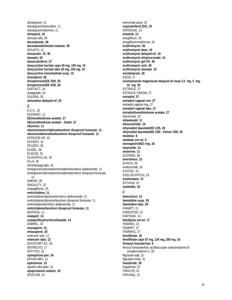dolutegravir, 11 dolutegravir/lamivudine, 11 dolutegravir/rilpivirine, 11 **donepezil**, **19** dornase alfa, 35 **dorzolamide**, **38 dorzolamide/timolol maleate**, **39** DOVATO, 11 **doxazosin**, **15**, **30 doxepin**, **20 doxercalciferol**, **27 doxycycline hyclate caps 50 mg, 100 mg**, **10 doxycycline hyclate tabs 20 mg, 100 mg**, **10 doxycycline monohydrate susp**, **10 dronabinol**, **28 drospirenone/EE 3/20**, **25 drospirenone/EE 3/30**, **26** DUETACT, 24 dulaglutide, 24 DULERA, 35 **duloxetine delayed-rel**, **20 E** E.E.S., 10 EDURANT, 11 **EE/norethindrone acetate**, **27 EE/norethindrone acetate - Jinteli**, **27 efavirenz**, **11 efavirenz/emtricitabine/tenofovir disoproxil fumarate**, **11 efavirenz/lamivudine/tenofovir disoproxil fumarate**, **11** EFFEXOR XR, 20 EFFIENT, 31 EFUDEX, 36 ELIDEL, 36 ELIQUIS, 31 ELIXOPHYLLIN, 35 ELLA, 26 eltrombopag tabs, 31 elvitegravir/cobicistat/emtricitabine/tenofovir alafenamide, 11 elvitegravir/cobicistat/emtricitabine/tenofovir disoproxil fumarate, 11 EMEND, 28 EMGALITY, 22 empagliflozin, 25 **emtricitabine**, **11** emtricitabine/rilpivirine/tenofovir alafenamide, 11 emtricitabine/rilpivirine/tenofovir disoproxil fumarate, 11 emtricitabine/tenofovir alafenamide, 11 **emtricitabine/tenofovir disoproxil fumarate**, **11** EMTRIVA, 11 **enalapril**, **14 enalapril/hydrochlorothiazide**, **14** ENBREL, 32 **enoxaparin**, **31 entacapone**, **20** entecavir soln, 12 **entecavir tabs**, **12** ENTOCORT EC, 29 ENTRESTO, 17 ENTYVIO, 32 **epinephrine pen**, **34** EPIVIR-HBV, 12 **eplerenone**, **15** epoetin alfa-epbx, 31 **epoprostenol sodium**, **18** EPZICOM, 10

erenumab-aooe, 22 **ergocalciferol (D2)**, **33** ERIVEDGE, 14 **erlotinib**, **13** ertugliflozin, 25 ertugliflozin/metformin, 25 **erythromycin**, **38 erythromycin base**, **10 erythromycin delayed-rel**, **10 erythromycin ethylsuccinate**, **10 erythromycin gel 2%**, **36 erythromycin soln**, **36 erythromycin stearate**, **10 escitalopram**, **20** ESGIC, 9 **esomeprazole magnesium delayed-rel susp 2.5 mg, 5 mg, 10 mg**, **30** ESTRACE, 27 ESTRACE CREAM, 27 **estradiol**, **27 estradiol vaginal crm**, **27** estradiol vaginal ring, 27 **estradiol vaginal tabs**, **27 estradiol/norethindrone acetate**, **27** etanercept, 32 **ethambutol**, **11 ethosuximide**, **19 ethynodiol diacetate/EE 1/35**, **26 ethynodiol diacetate/EE 1/50 - Kelnor 1/50**, **26 etodolac**, **8 etodolac ext-rel**, **8 etonogestrel/EE ring**, **26 etoposide**, **14 etravirine**, **11** EUCRISA, 36 **everolimus**, **13** EVISTA, 28 evolocumab, 16 EVOTAZ, 10 EXELON PATCH, 19 **exemestane**, **13** EXTAVIA, 22 **ezetimibe**, **16 F famciclovir**, **12 famotidine susp**, **29 famotidine tabs**, **29** FANAPT, 21 FARESTON, 13 FARYDAK, 14 **felodipine ext-rel**, **17** FEMARA, 13 FEMHRT, 27 FEMRING, 27 **fenofibrate**, **16 fenofibrate caps 67 mg, 134 mg, 200 mg**, **16 fentanyl transdermal**, **8** ferrous fumarate/folic acid/docusate sodium/vitamin Bcomplex/vitamin C, 33 filgrastim-aafi, 31 filgrastim-sndz, 31 **finasteride**, **30** fingolimod, 22 FIRAZYR, 32 FIRVANQ, 12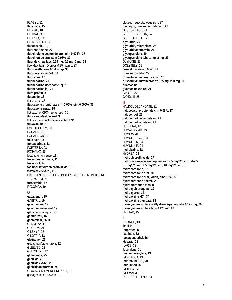**FLAGYL: 12** flecainide. 15 FLOLAN, 18 FLOMAX.30 FLORIVA, 33 FLOVENT HFA, 35 fluconazole, 10 fludrocortisone, 27 fluocinolone acetonide crm, oint 0.025%, 37 fluocinonide crm, soln 0.05%, 37 fluoride chew tabs 0.25 mg, 0.5 mg, 1 mg, 33 fluoride/vitamin D drops 0.25 mg/mL, 33 fluorometholone 0.1% susp, 38 fluorouracil crm 5%, 36 fluoxetine, 20 fluphenazine, 21 fluphenazine decanoate inj, 21 fluphenazine inj, 21 flurbiprofen, 8 flutamide, 13 fluticasone, 35 fluticasone propionate crm 0.05%, oint 0.005%, 37 fluticasone spray, 35 fluticasone, CFC-free aerosol, 35 fluticasone/salmeterol, 35 fluticasone/umeclidinium/vilanterol. 34 fluvoxamine, 19 FML LIQUIFILM, 38 FOCALIN, 21 FOCALIN XR, 21 folic acid, 33 fondaparinux, 31 FORTESTA, 23 FOSAMAX, 25 fosamprenavir susp, 11 fosamprenavir tabs, 11 fosinopril, 14 fosinopril/hydrochlorothiazide, 15 fostemsavir ext-rel, 11 FREESTYLE LIBRE CONTINUOUS GLUCOSE MONITORING SYSTEM, 25 furosemide, 17 FYCOMPA, 19 G gabapentin, 19 GABITRIL, 19 galantamine, 19 galantamine ext-rel, 19 galcanezumab-gnlm, 22 gemfibrozil, 16 gentamicin, 36, 38<br>GENVOYA, 11 GEODON, 21 GILENYA, 22 GILOTRIF, 13 glatiramer, 22 glecaprevir/pibrentasvir, 12 GLEEVEC. 13 **GLEOSTINE, 12** glimepiride, 25 glipizide, 25 glipizide ext-rel, 25 glipizide/metformin, 24 **GLUCAGON EMERGENCY KIT, 27** 

glucagon nasal powder, 27

glucagon subcutaneous soln, 27 glucagon, human recombinant, 27 GLUCOPHAGE, 24 **GLUCOPHAGE XR. 24 GLUCOTROL XL, 25** glyburide, 25 glyburide, micronized, 25 glyburide/metformin, 24 glycopyrrolate, 30 glycopyrrolate tabs 1 mg, 2 mg, 29 GLYNASE, 25 GOLYTELY, 29 goserelin acetate 3.6 mg, 13 granisetron tabs, 29 griseofulvin microsize susp, 10 griseofulvin ultramicrosize 125 mg, 250 mg, 10 quanfacine, 15 quanfacine ext-rel, 21 GVOKE, 27 GYNOL II. 26 HALDOL DECANOATE, 21 halobetasol propionate crm 0.05%, 37 haloperidol, 21 haloperidol decanoate inj, 21 haloperidol lactate inj, 21 HEPSERA, 12 **HUMALOG MIX, 24** HUMIRA, 31 **HUMULIN 70/30, 24** HUMULIN N, 24 HUMULIN R, 24 hydralazine, 18 HYDREA, 14 hydrochlorothiazide. 17 hydrocodone/acetaminophen soln 7.5 mg/325 mg, tabs 5 mg/325 mg, 7.5 mg/325 mg, 10 mg/325 mg, 8 hydrocortisone, 27 hydrocortisone crm, 30 hydrocortisone crm, lotion, oint 2.5%, 37 hydrocortisone enema, 29 hydromorphone tabs, 8 hydroxychloroquine, 32 hydroxyurea, 14 hydroxyzine HCI, 34 hydroxyzine pamoate, 34 hyoscyamine sulfate orally disintegrating tabs 0.125 mg, 29 hyoscyamine sulfate tabs 0.125 mg, 29 HYZAAR, 15 **IBRANCE, 13** ibrutinib, 13 ibuprofen, 8 icatibant, 32 icosapent ethyl, 16 idelalisib, 13 ILARIS, 32 iloperidone, 21 imatinib mesylate, 13 IMBRUVICA, 13 imipramine HCI, 20 imiguimod, 37 IMITREX, 22 IMURAN, 32 **INCRUSE ELLIPTA, 34**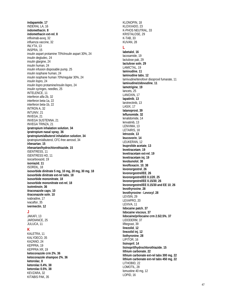**indapamide**, **17** INDERAL LA, 16 **indomethacin**, **8 indomethacin ext-rel**, **8** infliximab-axxq, 32 influenza vaccine, 32 INLYTA, 13 INSPRA, 15 insulin aspart protamine 70%/insulin aspart 30%, 24 insulin degludec, 24 insulin glargine, 24 insulin human, 24 insulin infusion disposable pump, 25 insulin isophane human, 24 insulin isophane human 70%/regular 30%, 24 insulin lispro, 24 insulin lispro protamine/insulin lispro, 24 insulin syringes, needles, 25 INTELENCE, 11 interferon alfa-2b, 32 interferon beta-1a, 22 interferon beta-1b, 22 INTRON A, 32 INTUNIV, 21 INVEGA, 21 INVEGA SUSTENNA, 21 INVEGA TRINZA, 21 **ipratropium inhalation solution**, **34 ipratropium nasal spray**, **36 ipratropium/albuterol inhalation solution**, **34** ipratropium/albuterol, CFC-free aerosol, 34 **irbesartan**, **15 irbesartan/hydrochlorothiazide**, **15** ISENTRESS, 11 ISENTRESS HD, 11 isocarboxazid, 19 **isoniazid**, **11** ISORDIL, 18 **isosorbide dinitrate 5 mg, 10 mg, 20 mg, 30 mg**, **18 isosorbide dinitrate ext-rel tabs**, **18 isosorbide mononitrate**, **18 isosorbide mononitrate ext-rel**, **18 isotretinoin**, **36 itraconazole caps**, **10 itraconazole soln**, **10** ivabradine, 17 ivacaftor, 35 **ivermectin**, **12 J** JAKAFI, 13 JARDIANCE, 25 JULUCA, 11

#### **K**

KALETRA, 11 KALYDECO, 35 KAZANO, 24 KEPPRA, 19 KEPPRA XR, 19 **ketoconazole crm 2%**, **36 ketoconazole shampoo 2%**, **36 ketorolac**, **8 ketorolac 0.4%**, **38 ketorolac 0.5%**, **38** KEVZARA, 32 KITABIS PAK, 35

KI ONOPIN, 18 KLOXXADO, 23 K-PHOS NEUTRAL, 33 KRISTALOSE, 29 K-TAB, 33 KUVAN, 28

#### **L**

**labetalol**, **16** lacosamide, 19 lactulose pak, 29 **lactulose soln**, **29** LAMICTAL, 19 **lamivudine**, **11 lamivudine tabs**, **12** lamivudine/tenofovir disoproxil fumarate, 11 **lamivudine/zidovudine**, **11 lamotrigine**, **19** lancets, 25 LANOXIN, 17 **lapatinib**, **13** larotrectinib, 13 LASIX, 17 **latanoprost**, **39 leflunomide**, **32** lenalidomide, 14 lenvatinib, 13 LENVIMA, 13 LETAIRIS, 18 **letrozole**, **13 leucovorin**, **14** LEUKERAN, 12 **leuprolide acetate**, **13 levetiracetam**, **19 levetiracetam ext-rel**, **19 levetiracetam inj**, **19 levobunolol**, **38 levofloxacin**, **10**, **38 levonorgestrel**, **26 levonorgestrel/EE**, **26 levonorgestrel/EE 0.1/20**, **25 levonorgestrel/EE 0.15/30**, **26 levonorgestrel/EE 0.15/30 and EE 10**, **26 levothyroxine**, **28 levothyroxine - Levoxyl**, **28** LEVSIN, 29 LEXAPRO, 20 LEXIVA, 11 **lidocaine patch**, **37 lidocaine viscous**, **37 lidocaine/prilocaine crm 2.5/2.5%**, **37** LIDODERM, 37 lifitegrast, 39 **linezolid**, **12 linezolid inj**, **12 liothyronine**, **28** LIPITOR, 16 **lisinopril**, **14 lisinopril/hydrochlorothiazide**, **15 lithium carbonate**, **22 lithium carbonate ext-rel tabs 300 mg**, **22 lithium carbonate ext-rel tabs 450 mg**, **22** LITHOBID, 22 LOMOTIL, 28 lomustine 40 mg, 12 LOPID, 16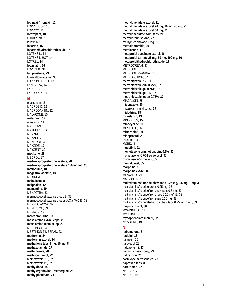**lopinavir/ritonavir**, **11** LOPRESSOR, 16 LOPROX, 36 **lorazepam**, **18** LORBRENA, 13 lorlatinib, 13 **losartan**, **15 losartan/hydrochlorothiazide**, **15** LOTENSIN, 14 LOTENSIN HCT, 14 LOTREL, 14 **lovastatin**, **16** LOVENOX, 31 **lubiprostone**, **29** lumacaftor/ivacaftor, 35 LUPRON DEPOT, 13 LYNPARZA, 14 LYRICA, 21 LYSODREN, 14

#### **M**

macitentan, 18 MACROBID, 12 MACRODANTIN, 12 MALARONE, 10 **malathion**, **37** maraviroc, 11 MARPLAN, 19 MATULANE, 14 MAVYRET, 12 MAXALT, 22 MAXITROL, 38 MAXZIDE, 17 MAYZENT, 22 **meclizine**, **29** MEDROL, 27 **medroxyprogesterone acetate**, **28 medroxyprogesterone acetate 150 mg/mL**, **26 mefloquine**, **10 megestrol acetate**, **13** MEKINIST, 13 **meloxicam**, **8 melphalan**, **12 memantine**, **19** MENACTRA, 32 meningococcal vaccine group B, 32 meningococcal vaccine groups A,C,Y,W-135, 32 MENVEO ACYW, 32 MEPHYTON, 33 MEPRON, 12 **mercaptopurine**, **13 mesalamine ext-rel caps**, **29 mesalamine rectal susp**, **29** MESTINON, 23 MESTINON TIMESPAN, 23 **metformin**, **24 metformin ext-rel**, **24 methadone tabs 5 mg, 10 mg**, **8 methazolamide**, **17 methimazole**, **28 methocarbamol**, **22** methotrexate, 13, **32** methotrexate inj, 32 **methyldopa**, **18 methylergonovine - Methergine**, **28 methylphenidate**, **21**

**methylphenidate ext-rel**, **21 methylphenidate ext-rel 20 mg, 30 mg, 40 mg**, **21 methylphenidate ext-rel 60 mg**, **21 methylphenidate soln, tabs**, **21 methylprednisolone**, **27** methylprednisolone 2 mg, 27 **metoclopramide**, **29 metolazone**, **17 metoprolol succinate ext-rel**, **16 metoprolol tartrate 25 mg, 50 mg, 100 mg**, **16 metoprolol/hydrochlorothiazide**, **17** METROCREAM, 37 METROGEL, 37 METROGEL-VAGINAL, 30 METROLOTION, 37 **metronidazole**, **12**, **30 metronidazole crm 0.75%**, **37 metronidazole gel 0.75%**, **37 metronidazole gel 1%**, **37 metronidazole lotion 0.75%**, **37** MIACALCIN, 25 **miconazole**, **30** midazolam nasal spray, 19 **midodrine**, **18** midostaurin, 13 MINIPRESS, 15 **minocycline**, **10** MIRCETTE, 26 **mirtazapine**, **20 misoprostol**, **29** mitotane, 14 MOBIC, 8 **modafinil**, **23 mometasone crm, lotion, oint 0.1%**, **37** mometasone, CFC-free aerosol, 35 mometasone/formoterol, 35 **montelukast**, **35 morphine**, **8 morphine ext-rel**, **8** MOVANTIK, 29 MS CONTIN, 8 **multivitamins/fluoride chew tabs 0.25 mg, 0.5 mg, 1 mg**, **33** multivitamins/fluoride drops 0.25 mg, 33 multivitamins/fluoride/iron chew tabs 0.5 mg, 33 multivitamins/fluoride/iron drops 0.25 mg/mL, 33 multivitamins/fluoride/iron susp 0.25 mg, 33 multivitamins/minerals/fluoride chew tabs 0.25 mg, 1 mg, 33 **mupirocin oint**, **36** MYAMBUTOL, 11 MYCOBUTIN, 12 **mycophenolate mofetil**, **32** MYSOLINE, 19

#### **N**

**nabumetone**, **8 nadolol**, **16** nafarelin, 26 naloxegol, 29 **naloxone inj**, **23** naloxone nasal spray, 23 **naltrexone**, **23** naltrexone microspheres, 23 **naproxen tabs**, **8 naratriptan**, **22** NARCAN, 23 NARDIL, 19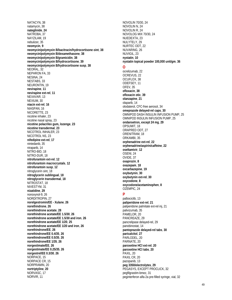NATACYN, 38 natamycin, 38 **nateglinide**, **24** NATROBA, 37 NAYZILAM, 19 nebulizer, 35 **neomycin**, **9 neomycin/polymyxin B/bacitracin/hydrocortisone oint**, **38 neomycin/polymyxin B/dexamethasone**, **38 neomycin/polymyxin B/gramicidin**, **38 neomycin/polymyxin B/hydrocortisone**, **39 neomycin/polymyxin B/hydrocortisone susp**, **38** NEORAL, 32 NEPHRON FA, 33 NESINA, 24 NESTABS, 33 NEURONTIN, 19 **nevirapine**, **11 nevirapine ext-rel**, **11** NEXAVAR, 13 NEXIUM, 30 **niacin ext-rel**, **16** NIASPAN, 16 NICORETTE, 23 nicotine inhaler, 23 nicotine nasal spray, 23 **nicotine polacrilex gum, lozenge**, **23 nicotine transdermal**, **23** NICOTROL INHALER, 23 NICOTROL NS, 23 **nifedipine ext-rel**, **17** nintedanib, 35 niraparib, 14 NITRO-BID, 18 NITRO-DUR, 18 **nitrofurantoin ext-rel**, **12 nitrofurantoin macrocrystals**, **12 nitrofurantoin susp**, **12** nitroglycerin oint, 18 **nitroglycerin sublingual**, **18 nitroglycerin transdermal**, **18** NITROSTAT, 18 NIVESTYM, 31 **nizatidine**, **29** nonoxynol-9, 26 NORDITROPIN, 27 **norelgestromin/EE - Xulane**, **26 norethindrone**, **26 norethindrone acetate**, **28 norethindrone acetate/EE 1.5/30**, **26 norethindrone acetate/EE 1.5/30 and iron**, **26 norethindrone acetate/EE 1/20**, **25 norethindrone acetate/EE 1/20 and iron**, **26 norethindrone/EE**, **26 norethindrone/EE 0.4/35**, **26 norethindrone/EE 0.5/35**, **26 norethindrone/EE 1/35**, **26 norgestimate/EE**, **26 norgestimate/EE 0.25/35**, **26 norgestrel/EE 0.3/30**, **26** NORPACE, 15 NORPACE CR, 15 NORPRAMIN, 20 **nortriptyline**, **20** NORVASC, 17 NORVIR, 11

NOVOLIN 70/30, 24 NOVOLIN N, 24 NOVOLIN R, 24 NOVOLOG MIX 70/30, 24 NUEDEXTA, 23 NULYTELY, 29 NURTEC ODT, 22 NUVARING, 26 NUVIGIL, 23 **nystatin**, **10 nystatin topical powder 100,000 unit/gm**, **36 O** ocrelizumab, 22 OCREVUS, 22 OCUFLOX, 38 ODEFSEY, 11 OFEV, 35 **ofloxacin**, **38 ofloxacin otic**, **39 olanzapine**, **21** olaparib, 14 olodaterol, CFC-free aerosol, 34 **omeprazole delayed-rel caps**, **30** OMNIPOD DASH INSULIN INFUSION PUMP, 25 OMNIPOD INSULIN INFUSION PUMP, 25 **ondansetron, except 24 mg**, **29** OPSUMIT, 18 ORAPRED ODT, 27 ORENITRAM, 18 ORKAMBI, 35 **orphenadrine ext-rel**, **22 orphenadrine/aspirin/caffeine**, **22 oseltamivir**, **12** OSENI, 24 OVIDE, 37 **oxaprozin**, **8 oxazepam**, **18 oxcarbazepine**, **19 oxybutynin**, **30 oxybutynin ext-rel**, **30 oxycodone**, **8 oxycodone/acetaminophen**, **8** OZEMPIC, 24 **P** palbociclib, 13 **paliperidone ext-rel**, **21** paliperidone palmitate ext-rel inj, 21 palivizumab, 35 PAMELOR, 20 PANCREAZE, 29 pancrelipase delayed-rel, 29 panobinostat, 14 **pantoprazole delayed-rel tabs**, **30 paricalcitol**, **27** PARLODEL, 20 PARNATE, 20 **paroxetine HCl ext-rel**, **20 paroxetine HCl tabs**, **20** PAXIL, 20 PAXIL CR, 20 pazopanib, 13 **peg 3350/electrolytes**, **29** PEGASYS, EXCEPT PROCLICK, 32 pegfilgrastim-bmez, 31 peginterferon alfa-2a pre-filled syringe, vial, 32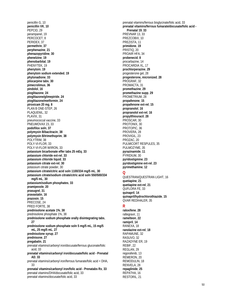penicillin G, 10 **penicillin VK**, **10** PEPCID, 29 perampanel, 19 PERCOCET, 8 PERIDEX, 37 **permethrin**, **37 perphenazine**, **21 phenazopyridine**, **30 phenelzine**, **19 phenobarbital**, **19** PHENYTEK, 19 **phenytoin**, **19 phenytoin sodium extended**, **19 phytonadione**, **33 pilocarpine tabs**, **30 pimecrolimus**, **36 pindolol**, **16 pioglitazone**, **24 pioglitazone/glimepiride**, **24 pioglitazone/metformin**, **24 piroxicam 20 mg**, **8** PLAN B ONE-STEP, 26 PLAQUENIL, 32 PLAVIX, 31 pneumococcal vaccine, 33 PNEUMOVAX 23, 33 **podofilox soln**, **37 polymyxin B/bacitracin**, **38 polymyxin B/trimethoprim**, **38** POLYTRIM, 38 POLY-VI-FLOR, 33 POLY-VI-FLOR W/IRON, 33 **potassium bicarbonate effer tabs 25 mEq**, **33 potassium chloride ext-rel**, **33 potassium chloride liquid**, **33 potassium citrate ext-rel**, **30** potassium citrate powder, 30 **potassium citrate/citric acid soln 1100/334 mg/5 mL**, **30 potassium citrate/sodium citrate/citric acid soln 550/500/334 mg/5 mL**, **30 potassium/sodium phosphates**, **33 pramipexole**, **20 prasugrel**, **31 pravastatin**, **16 prazosin**, **15** PRECOSE, 24 PRED FORTE, 38 **prednisolone acetate 1%**, **38** prednisolone phosphate 1%, 38 **prednisolone sodium phosphate orally disintegrating tabs**, **27 prednisolone sodium phosphate soln 5 mg/5 mL, 15 mg/5 mL, 25 mg/5 mL**, **27 prednisolone syrup**, **27 prednisone**, **27 pregabalin**, **21** prenatal vitamins/carbonyl iron/docusate/ferrous gluconate/folic acid, 33 **prenatal vitamins/carbonyl iron/docusate/folic acid - Prenatal AD**, **33** prenatal vitamins/carbonyl iron/ferrous fumarate/folic acid + DHA, 33 **prenatal vitamins/carbonyl iron/folic acid - Prenatabs Rx**, **33** prenatal vitamins/DHA/docusate/folic acid, 33 prenatal vitamins/docusate/folic acid, 33

prenatal vitamins/ferrous bisglycinate/folic acid, 33 **prenatal vitamins/ferrous fumarate/docusate/folic acid - Prenatal 19**, **33** PREVNAR 13, 33 PREZCOBIX, 10 PREZISTA, 11 **primidone**, **19** PRISTIQ, 20 PROAIR HFA, 34 **probenecid**, **8** procarbazine, 14 PROCARDIA XL, 17 **prochlorperazine**, **29** progesterone gel, 28 **progesterone, micronized**, **28** PROGRAF, 32 PROMACTA, 31 **promethazine**, **29 promethazine supp**, **29** PROMETRIUM, 28 **propafenone**, **15 propafenone ext-rel**, **15 propranolol**, **16 propranolol ext-rel**, **16 propylthiouracil**, **28** PROSCAR, 30 PROTONIX, 30 PROTOPIC, 36 PROVERA, 28 PROVIGIL, 23 PROZAC, 20 PULMICORT RESPULES, 35 PULMOZYME, 35 **pyrazinamide**, **11** PYRIDIUM, 30 **pyridostigmine**, **23 pyridostigmine ext-rel**, **23 pyrimethamine**, **12 Q** QUESTRAN/QUESTRAN LIGHT, 16 **quetiapine**, **21 quetiapine ext-rel**, **21** QUFLORA FE, 33 **quinapril**, **14 quinapril/hydrochlorothiazide**, **15** QVAR REDIHALER, 35 **R raloxifene**, **28** raltegravir, 11 **ramelteon**, **22 ramipril**, **14** RANEXA, 18 **ranolazine ext-rel**, **18** RAPAMUNE, 32 RASUVO, 32

RAZADYNE ER, 19 REBIF, 22 REGLAN, 29 regorafenib, 13 REMERON, 20 REMODULIN, 18 RENVELA, 28 **repaglinide**, **25** REPATHA, 16 RESTORIL, 21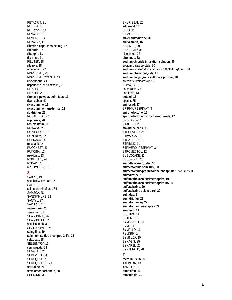RETACRIT, 31 RETIN-A, 36 RETROVIR, 11 REVATIO, 18 REVLIMID, 14 REYATAZ, 11 **ribavirin caps, tabs 200mg**, **12 rifabutin**, **12 rifampin**, **11** rilpivirine, 11 RILUTEK, 18 **riluzole**, **18** rimegepant, 22 RISPERDAL, 21 RISPERDAL CONSTA, 21 **risperidone**, **21** risperidone long-acting inj, 21 RITALIN, 21 RITALIN LA, 21 **ritonavir powder, soln, tabs**, **11** rivaroxaban, 31 **rivastigmine**, **19 rivastigmine transdermal**, **19 rizatriptan**, **22** ROCALTROL, 27 **ropinirole**, **20 rosuvastatin**, **16** ROWASA, 29 ROXICODONE, 8 ROZEREM, 22 RUBRACA, 14 rucaparib, 14 RUCONEST, 32 RUKOBIA, 11 ruxolitinib, 13 RYBELSUS, 24 RYDAPT, 13 RYTHMOL SR, 15 **S** SABRIL, 19 sacubitril/valsartan, 17 SALAGEN, 30 salmeterol xinafoate, 34 SAMSCA, 28 SANDIMMUNE, 32 SANTYL, 37 SAPHRIS, 20 **sapropterin**, **28** sarilumab, 32 SEASONALE, 26 SEASONIQUE, 26 secukinumab, 32 SEGLUROMET, 25 **selegiline**, **20 selenium sulfide shampoo 2.5%**, **36** selexipag, 18 SELZENTRY, 11 semaglutide, 24 SEMGLEE, 24 SEREVENT, 34 SEROQUEL, 21 SEROQUEL XR, 21 **sertraline**, **20 sevelamer carbonate**, **28**

SHINGRIX, 33

SHUR-SEAL, 26 **sildenafil**, **18** SILIQ, 31 SILVADENE, 36 **silver sulfadiazine**, **36 simvastatin**, **16** SINEMET, 20 SINGULAIR, 35 siponimod, 22 **sirolimus**, **32 sodium chloride inhalation solution**, **35** sodium citrate crystals, 30 **sodium citrate/citric acid soln 500/334 mg/5 mL**, **30 sodium phenylbutyrate**, **28 sodium polystyrene sulfonate powder**, **28** sofosbuvir/velpatasvir, 12 SOMA, 22 somatropin, 27 sorafenib, 13 **sotalol**, **15** spacer, 35 **spinosad**, **37** SPIRIVA RESPIMAT, 34 **spironolactone**, **15 spironolactone/hydrochlorothiazide**, **17** SPORANOX, 10 STALEVO, 20 **stavudine caps**, **11** STEGLATRO, 25 STIVARGA, 13 STRATTERA, 21 STRIBILD, 11 STRIVERDI RESPIMAT, 34 STROMECTOL, 12 SUBLOCADE, 23 SUBOXONE, 23 **sucralfate susp, tabs**, **30 sulfacetamide soln 10%**, **38 sulfacetamide/prednisolone phosphate 10%/0.25%**, **38 sulfadiazine**, **10 sulfamethoxazole/trimethoprim**, **10 sulfamethoxazole/trimethoprim DS**, **10 sulfasalazine**, **29 sulfasalazine delayed-rel**, **29 sulindac**, **8 sumatriptan**, **22 sumatriptan inj**, **22 sumatriptan nasal spray**, **22 sunitinib**, **13** SUSTIVA, 11 SUTENT, 13 SYMBICORT, 35 SYMFI, 11 SYMFI LO, 11 SYMJEPI, 34 SYMTUZA, 10 SYNAGIS, 35 SYNAREL, 26 SYNTHROID, 28 **T tacrolimus**, **32**, **36** TAFINLAR, 13 TAMIFLU, 12 **tamoxifen**, **13 tamsulosin**, **30**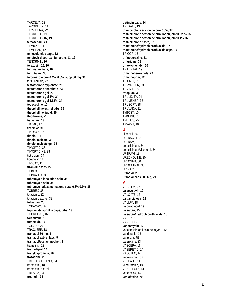TARCEVA, 13 TARGRETIN, 14 TECFIDERA, 22 TEGRETOL, 19 TEGRETOL-XR, 19 **temazepam**, **21** TEMIXYS, 11 TEMODAR, 12 **temozolomide caps**, **12 tenofovir disoproxil fumarate**, **11**, **12** TENORMIN, 16 **terazosin**, **15**, **30 terbinafine tabs**, **10 terbutaline**, **35 terconazole crm 0.4%, 0.8%, supp 80 mg**, **30** teriflunomide, 22 **testosterone cypionate**, **23 testosterone enanthate**, **23 testosterone gel**, **23 testosterone gel 1%**, **24 testosterone gel 1.62%**, **24 tetracycline**, **10 theophylline ext-rel tabs**, **35 theophylline liquid**, **35 thiothixene**, **21 tiagabine**, **19** TIAZAC, 17 ticagrelor, 31 TIKOSYN, 15 **timolol**, **16 timolol maleate**, **38 timolol maleate gel**, **38** TIMOPTIC, 38 TIMOPTIC-XE, 38 tiotropium, 34 tipranavir, 11 TIVICAY, 11 **tizanidine tabs**, **22** TOBI, 35 TOBRADEX, 38 **tobramycin inhalation soln**, **35 tobramycin soln**, **38 tobramycin/dexamethasone susp 0.3%/0.1%**, **38** TOBREX, 38 tofacitinib, 32 tofacitinib ext-rel, 32 **tolvaptan**, **28** TOPAMAX, 19 **topiramate sprinkle caps, tabs**, **19** TOPROL-XL, 16 **toremifene**, **13 torsemide**, **17** TOUJEO, 24 TRACLEER, 18 **tramadol 50 mg**, **8 tramadol ext-rel tabs**, **9 tramadol/acetaminophen**, **9** trametinib, 13 **trandolapril**, **14 tranylcypromine**, **20 trazodone**, **20** TRELEGY ELLIPTA, 34 treprostinil, 18 treprostinil ext-rel, 18 TRESIBA, 24 **tretinoin**, **36**

**tretinoin caps**, **14** TREXALL, 13 **triamcinolone acetonide crm 0.5%**, **37 triamcinolone acetonide crm, lotion, oint 0.025%**, **37 triamcinolone acetonide crm, lotion, oint 0.1%**, **37 triamcinolone paste**, **37 triamterene/hydrochlorothiazide**, **17 triamterene/hydrochlorothiazide caps**, **17** TRICOR, 16 **trifluoperazine**, **21 trifluridine**, **38 trihexyphenidyl**, **20** TRILEPTAL, 19 **trimethobenzamide**, **29 trimethoprim**, **12** TRIUMEQ, 10 TRI-VI-FLOR, 33 TRIZIVIR, 10 **trospium**, **30** TRULICITY, 24 TRUMENBA, 32 TRUSOPT, 38 TRUVADA, 11 TYBOST, 10 TYKERB, 13 TYMLOS, 25 TYVASO, 18 **U** ulipristal, 26 ULTRACET, 9 ULTRAM, 8 umeclidinium, 34 umeclidinium/vilanterol, 34 UPTRAVI, 18 URECHOLINE, 30 UROCIT-K, 30 UROXATRAL, 30 URSO, 29 **ursodiol**, **29 ursodiol caps 300 mg**, **29 V** VAGIFEM, 27 **valacyclovir**, **12** VALCYTE, 12 **valganciclovir**, **12** VALIUM, 18 **valproic acid**, **19 valsartan**, **15 valsartan/hydrochlorothiazide**, **15** VALTREX, 12 VANCOCIN, 12 **vancomycin**, **12** vancomycin oral soln 50 mg/mL, 12 vandetanib, 13 vaporizer, 35 varenicline, 23 VASCEPA, 16 VASERETIC, 14 VASOTEC, 14 vedolizumab, 32 VELCADE, 14 vemurafenib, 13 VENCLEXTA, 14 venetoclax, 14 **venlafaxine**, **20**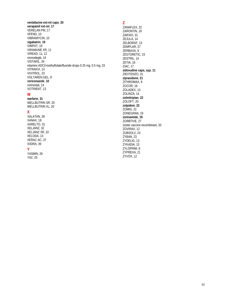**venlafaxine ext-rel caps**, **20 verapamil ext-rel**, **17** VERELAN PM, 17 VFEND, 10 VIBRAMYCIN, 10 **vigabatrin**, **19** VIMPAT, 19 VIRAMUNE XR, 11 VIREAD, 11, 12 vismodegib, 14 VISTARIL, 34 vitamins ADC/l-methylfolate/fluoride drops 0.25 mg, 0.5 mg, 33 VITRAKVI, 13 VIVITROL, 23 VOLTAREN GEL, 8 **voriconazole**, **10** vorinostat, 14 VOTRIENT, 13

### **W**

**warfarin**, **31** WELLBUTRIN SR, 20 WELLBUTRIN XL, 20

#### **X**

XALATAN, 39 XANAX, 18 XARELTO, 31 XELJANZ, 32 XELJANZ XR, 32 XELODA, 13 XERAC AC, 37 XIIDRA, 39

#### **Y**

YASMIN, 26 YAZ, 25

**Z** ZANAFLEX, 22 ZARONTIN, 19 ZARXIO, 31 ZEJULA, 14 ZELBORAF, 13 ZEMPLAR, 27 ZERBAXA, 9 ZESTORETIC, 15 ZESTRIL, 14 ZETIA, 16 ZIAC, 17 **zidovudine caps, syp**, **11** ZIEXTENZO, 31 **ziprasidone**, **21** ZITHROMAX, 9 ZOCOR, 16 ZOLADEX, 13 ZOLINZA, 14 **zolmitriptan**, **22** ZOLOFT, 20 **zolpidem**, **22** ZOMIG, 22 ZONEGRAN, 19 **zonisamide**, **19** ZORBTIVE, 27 zoster vaccine recombinant, 33 ZOVIRAX, 12 ZUBSOLV, 23 ZYBAN, 23 ZYDELIG, 13 ZYKADIA, 13 ZYLOPRIM, 8 ZYPREXA, 21 ZYVOX, 12